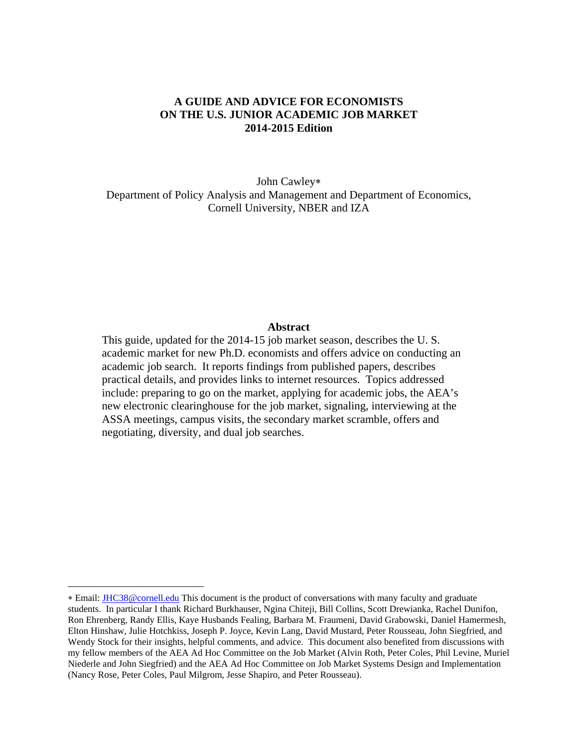## **A GUIDE AND ADVICE FOR ECONOMISTS ON THE U.S. JUNIOR ACADEMIC JOB MARKET 2014-2015 Edition**

John Cawley Department of Policy Analysis and Management and Department of Economics, Cornell University, NBER and IZA

### **Abstract**

This guide, updated for the 2014-15 job market season, describes the U. S. academic market for new Ph.D. economists and offers advice on conducting an academic job search. It reports findings from published papers, describes practical details, and provides links to internet resources. Topics addressed include: preparing to go on the market, applying for academic jobs, the AEA's new electronic clearinghouse for the job market, signaling, interviewing at the ASSA meetings, campus visits, the secondary market scramble, offers and negotiating, diversity, and dual job searches.

 $\overline{a}$ 

Email: JHC38@cornell.edu This document is the product of conversations with many faculty and graduate students. In particular I thank Richard Burkhauser, Ngina Chiteji, Bill Collins, Scott Drewianka, Rachel Dunifon, Ron Ehrenberg, Randy Ellis, Kaye Husbands Fealing, Barbara M. Fraumeni, David Grabowski, Daniel Hamermesh, Elton Hinshaw, Julie Hotchkiss, Joseph P. Joyce, Kevin Lang, David Mustard, Peter Rousseau, John Siegfried, and Wendy Stock for their insights, helpful comments, and advice. This document also benefited from discussions with my fellow members of the AEA Ad Hoc Committee on the Job Market (Alvin Roth, Peter Coles, Phil Levine, Muriel Niederle and John Siegfried) and the AEA Ad Hoc Committee on Job Market Systems Design and Implementation (Nancy Rose, Peter Coles, Paul Milgrom, Jesse Shapiro, and Peter Rousseau).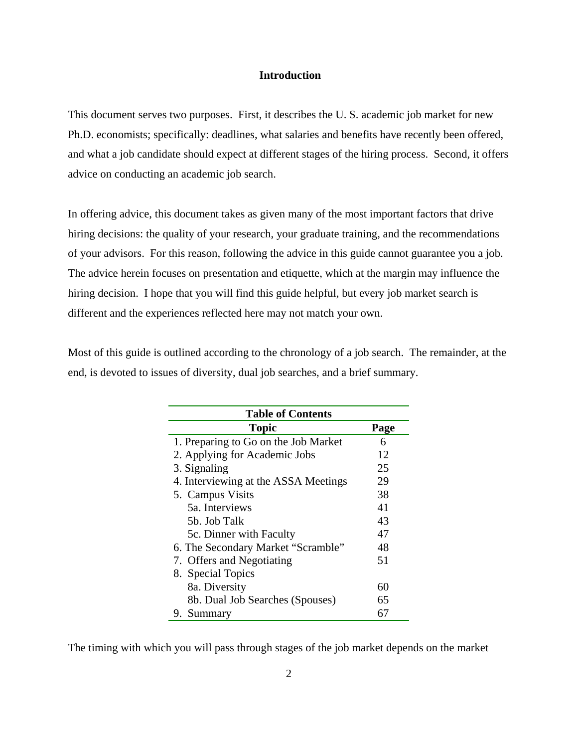### **Introduction**

This document serves two purposes. First, it describes the U. S. academic job market for new Ph.D. economists; specifically: deadlines, what salaries and benefits have recently been offered, and what a job candidate should expect at different stages of the hiring process. Second, it offers advice on conducting an academic job search.

In offering advice, this document takes as given many of the most important factors that drive hiring decisions: the quality of your research, your graduate training, and the recommendations of your advisors. For this reason, following the advice in this guide cannot guarantee you a job. The advice herein focuses on presentation and etiquette, which at the margin may influence the hiring decision. I hope that you will find this guide helpful, but every job market search is different and the experiences reflected here may not match your own.

Most of this guide is outlined according to the chronology of a job search. The remainder, at the end, is devoted to issues of diversity, dual job searches, and a brief summary.

| <b>Table of Contents</b>             |      |  |  |
|--------------------------------------|------|--|--|
| <b>Topic</b>                         | Page |  |  |
| 1. Preparing to Go on the Job Market | 6    |  |  |
| 2. Applying for Academic Jobs        | 12   |  |  |
| 3. Signaling                         | 25   |  |  |
| 4. Interviewing at the ASSA Meetings | 29   |  |  |
| 5. Campus Visits                     | 38   |  |  |
| 5a. Interviews                       | 41   |  |  |
| 5b. Job Talk                         | 43   |  |  |
| 5c. Dinner with Faculty              | 47   |  |  |
| 6. The Secondary Market "Scramble"   | 48   |  |  |
| 7. Offers and Negotiating            | 51   |  |  |
| 8. Special Topics                    |      |  |  |
| 8a. Diversity                        | 60   |  |  |
| 8b. Dual Job Searches (Spouses)      | 65   |  |  |
| Summary<br>9.                        | 67   |  |  |

The timing with which you will pass through stages of the job market depends on the market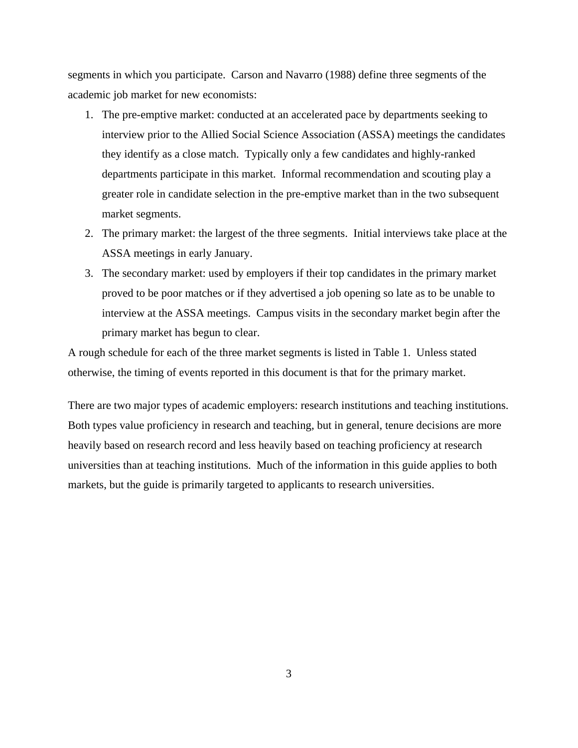segments in which you participate. Carson and Navarro (1988) define three segments of the academic job market for new economists:

- 1. The pre-emptive market: conducted at an accelerated pace by departments seeking to interview prior to the Allied Social Science Association (ASSA) meetings the candidates they identify as a close match. Typically only a few candidates and highly-ranked departments participate in this market. Informal recommendation and scouting play a greater role in candidate selection in the pre-emptive market than in the two subsequent market segments.
- 2. The primary market: the largest of the three segments. Initial interviews take place at the ASSA meetings in early January.
- 3. The secondary market: used by employers if their top candidates in the primary market proved to be poor matches or if they advertised a job opening so late as to be unable to interview at the ASSA meetings. Campus visits in the secondary market begin after the primary market has begun to clear.

A rough schedule for each of the three market segments is listed in Table 1. Unless stated otherwise, the timing of events reported in this document is that for the primary market.

There are two major types of academic employers: research institutions and teaching institutions. Both types value proficiency in research and teaching, but in general, tenure decisions are more heavily based on research record and less heavily based on teaching proficiency at research universities than at teaching institutions. Much of the information in this guide applies to both markets, but the guide is primarily targeted to applicants to research universities.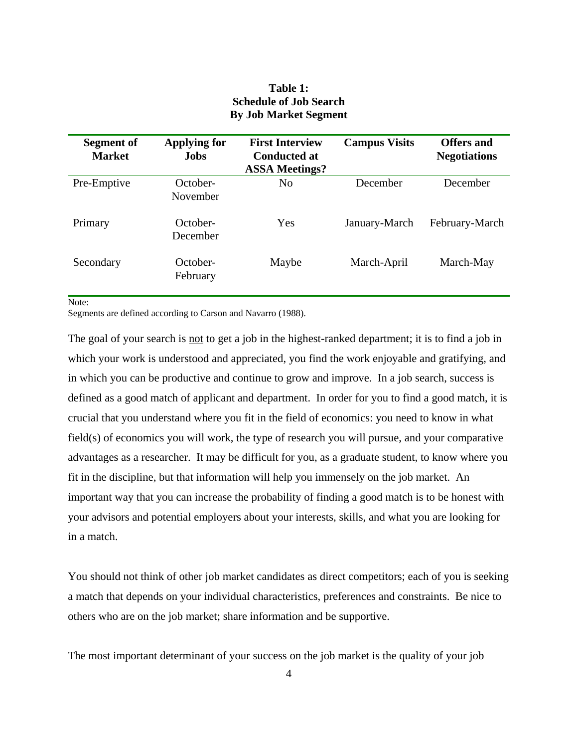# **Table 1: Schedule of Job Search By Job Market Segment**

| Segment of<br><b>Market</b> | <b>Applying for</b><br><b>Jobs</b> | <b>First Interview</b><br><b>Conducted at</b><br><b>ASSA Meetings?</b> | <b>Campus Visits</b> | <b>Offers and</b><br><b>Negotiations</b> |
|-----------------------------|------------------------------------|------------------------------------------------------------------------|----------------------|------------------------------------------|
| Pre-Emptive                 | October-<br>November               | N <sub>0</sub>                                                         | December             | December                                 |
| Primary                     | October-<br>December               | Yes                                                                    | January-March        | February-March                           |
| Secondary                   | October-<br>February               | Maybe                                                                  | March-April          | March-May                                |

Note:

Segments are defined according to Carson and Navarro (1988).

The goal of your search is not to get a job in the highest-ranked department; it is to find a job in which your work is understood and appreciated, you find the work enjoyable and gratifying, and in which you can be productive and continue to grow and improve. In a job search, success is defined as a good match of applicant and department. In order for you to find a good match, it is crucial that you understand where you fit in the field of economics: you need to know in what field(s) of economics you will work, the type of research you will pursue, and your comparative advantages as a researcher. It may be difficult for you, as a graduate student, to know where you fit in the discipline, but that information will help you immensely on the job market. An important way that you can increase the probability of finding a good match is to be honest with your advisors and potential employers about your interests, skills, and what you are looking for in a match.

You should not think of other job market candidates as direct competitors; each of you is seeking a match that depends on your individual characteristics, preferences and constraints. Be nice to others who are on the job market; share information and be supportive.

The most important determinant of your success on the job market is the quality of your job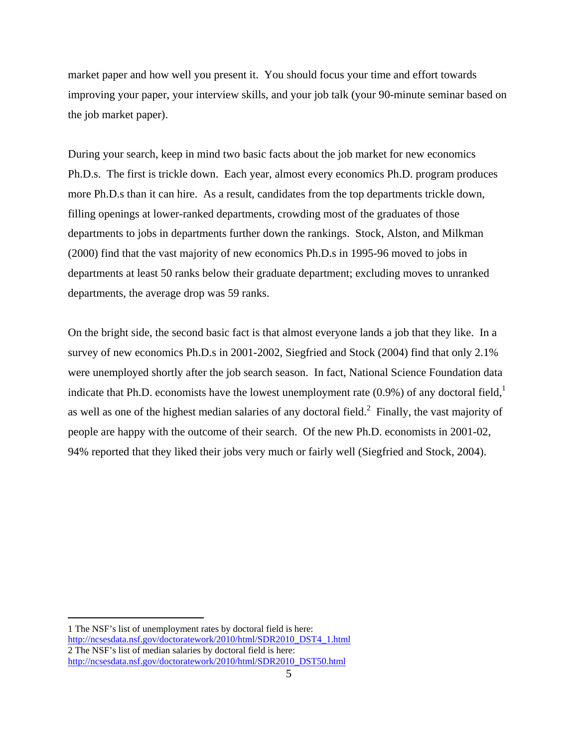market paper and how well you present it. You should focus your time and effort towards improving your paper, your interview skills, and your job talk (your 90-minute seminar based on the job market paper).

During your search, keep in mind two basic facts about the job market for new economics Ph.D.s. The first is trickle down. Each year, almost every economics Ph.D. program produces more Ph.D.s than it can hire. As a result, candidates from the top departments trickle down, filling openings at lower-ranked departments, crowding most of the graduates of those departments to jobs in departments further down the rankings. Stock, Alston, and Milkman (2000) find that the vast majority of new economics Ph.D.s in 1995-96 moved to jobs in departments at least 50 ranks below their graduate department; excluding moves to unranked departments, the average drop was 59 ranks.

On the bright side, the second basic fact is that almost everyone lands a job that they like. In a survey of new economics Ph.D.s in 2001-2002, Siegfried and Stock (2004) find that only 2.1% were unemployed shortly after the job search season. In fact, National Science Foundation data indicate that Ph.D. economists have the lowest unemployment rate  $(0.9\%)$  of any doctoral field, as well as one of the highest median salaries of any doctoral field. $^2$  Finally, the vast majority of people are happy with the outcome of their search. Of the new Ph.D. economists in 2001-02, 94% reported that they liked their jobs very much or fairly well (Siegfried and Stock, 2004).

 $\overline{a}$ 

<sup>1</sup> The NSF's list of unemployment rates by doctoral field is here: http://ncsesdata.nsf.gov/doctoratework/2010/html/SDR2010\_DST4\_1.html 2 The NSF's list of median salaries by doctoral field is here: http://ncsesdata.nsf.gov/doctoratework/2010/html/SDR2010\_DST50.html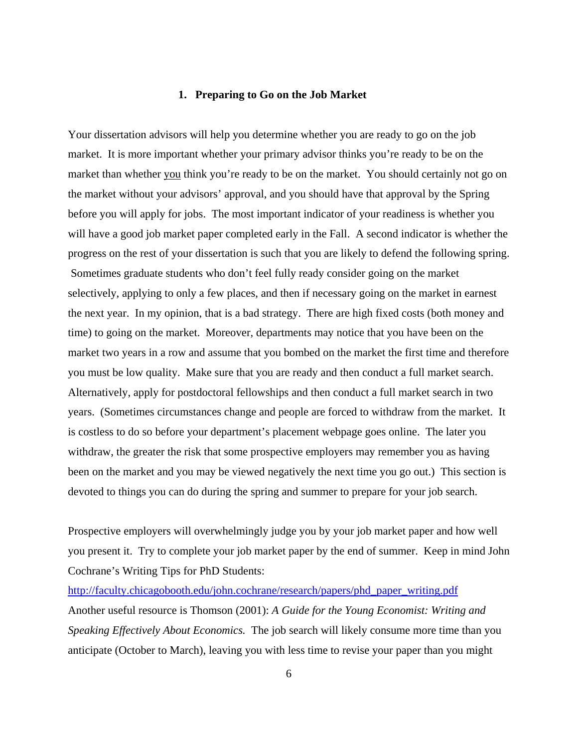### **1. Preparing to Go on the Job Market**

Your dissertation advisors will help you determine whether you are ready to go on the job market. It is more important whether your primary advisor thinks you're ready to be on the market than whether you think you're ready to be on the market. You should certainly not go on the market without your advisors' approval, and you should have that approval by the Spring before you will apply for jobs. The most important indicator of your readiness is whether you will have a good job market paper completed early in the Fall. A second indicator is whether the progress on the rest of your dissertation is such that you are likely to defend the following spring. Sometimes graduate students who don't feel fully ready consider going on the market selectively, applying to only a few places, and then if necessary going on the market in earnest the next year. In my opinion, that is a bad strategy. There are high fixed costs (both money and time) to going on the market. Moreover, departments may notice that you have been on the market two years in a row and assume that you bombed on the market the first time and therefore you must be low quality. Make sure that you are ready and then conduct a full market search. Alternatively, apply for postdoctoral fellowships and then conduct a full market search in two years. (Sometimes circumstances change and people are forced to withdraw from the market. It is costless to do so before your department's placement webpage goes online. The later you withdraw, the greater the risk that some prospective employers may remember you as having been on the market and you may be viewed negatively the next time you go out.) This section is devoted to things you can do during the spring and summer to prepare for your job search.

Prospective employers will overwhelmingly judge you by your job market paper and how well you present it. Try to complete your job market paper by the end of summer. Keep in mind John Cochrane's Writing Tips for PhD Students:

http://faculty.chicagobooth.edu/john.cochrane/research/papers/phd\_paper\_writing.pdf Another useful resource is Thomson (2001): *A Guide for the Young Economist: Writing and Speaking Effectively About Economics.* The job search will likely consume more time than you anticipate (October to March), leaving you with less time to revise your paper than you might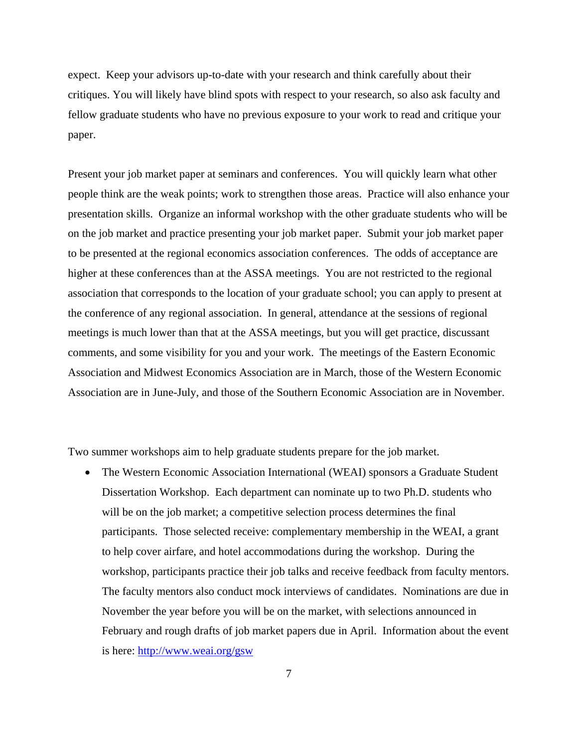expect. Keep your advisors up-to-date with your research and think carefully about their critiques. You will likely have blind spots with respect to your research, so also ask faculty and fellow graduate students who have no previous exposure to your work to read and critique your paper.

Present your job market paper at seminars and conferences. You will quickly learn what other people think are the weak points; work to strengthen those areas. Practice will also enhance your presentation skills. Organize an informal workshop with the other graduate students who will be on the job market and practice presenting your job market paper. Submit your job market paper to be presented at the regional economics association conferences. The odds of acceptance are higher at these conferences than at the ASSA meetings. You are not restricted to the regional association that corresponds to the location of your graduate school; you can apply to present at the conference of any regional association. In general, attendance at the sessions of regional meetings is much lower than that at the ASSA meetings, but you will get practice, discussant comments, and some visibility for you and your work. The meetings of the Eastern Economic Association and Midwest Economics Association are in March, those of the Western Economic Association are in June-July, and those of the Southern Economic Association are in November.

Two summer workshops aim to help graduate students prepare for the job market.

 The Western Economic Association International (WEAI) sponsors a Graduate Student Dissertation Workshop. Each department can nominate up to two Ph.D. students who will be on the job market; a competitive selection process determines the final participants. Those selected receive: complementary membership in the WEAI, a grant to help cover airfare, and hotel accommodations during the workshop. During the workshop, participants practice their job talks and receive feedback from faculty mentors. The faculty mentors also conduct mock interviews of candidates. Nominations are due in November the year before you will be on the market, with selections announced in February and rough drafts of job market papers due in April. Information about the event is here: http://www.weai.org/gsw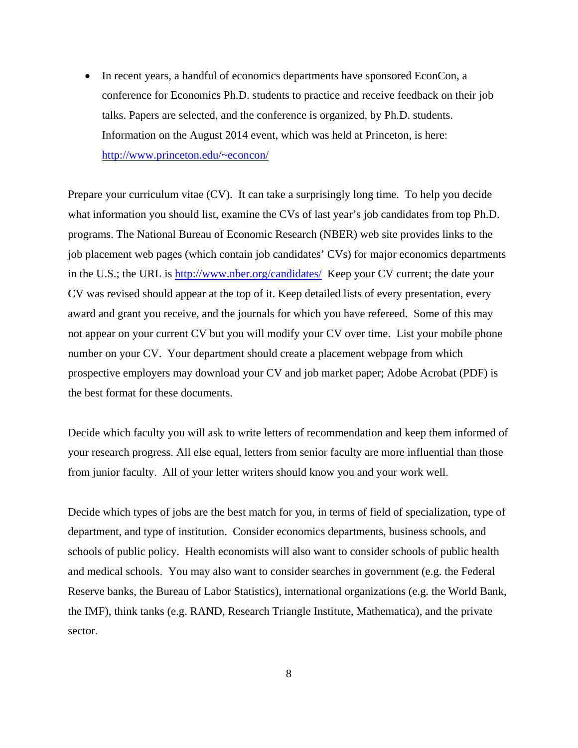• In recent years, a handful of economics departments have sponsored EconCon, a conference for Economics Ph.D. students to practice and receive feedback on their job talks. Papers are selected, and the conference is organized, by Ph.D. students. Information on the August 2014 event, which was held at Princeton, is here: http://www.princeton.edu/~econcon/

Prepare your curriculum vitae (CV). It can take a surprisingly long time. To help you decide what information you should list, examine the CVs of last year's job candidates from top Ph.D. programs. The National Bureau of Economic Research (NBER) web site provides links to the job placement web pages (which contain job candidates' CVs) for major economics departments in the U.S.; the URL is http://www.nber.org/candidates/ Keep your CV current; the date your CV was revised should appear at the top of it. Keep detailed lists of every presentation, every award and grant you receive, and the journals for which you have refereed. Some of this may not appear on your current CV but you will modify your CV over time. List your mobile phone number on your CV. Your department should create a placement webpage from which prospective employers may download your CV and job market paper; Adobe Acrobat (PDF) is the best format for these documents.

Decide which faculty you will ask to write letters of recommendation and keep them informed of your research progress. All else equal, letters from senior faculty are more influential than those from junior faculty. All of your letter writers should know you and your work well.

Decide which types of jobs are the best match for you, in terms of field of specialization, type of department, and type of institution. Consider economics departments, business schools, and schools of public policy. Health economists will also want to consider schools of public health and medical schools. You may also want to consider searches in government (e.g. the Federal Reserve banks, the Bureau of Labor Statistics), international organizations (e.g. the World Bank, the IMF), think tanks (e.g. RAND, Research Triangle Institute, Mathematica), and the private sector.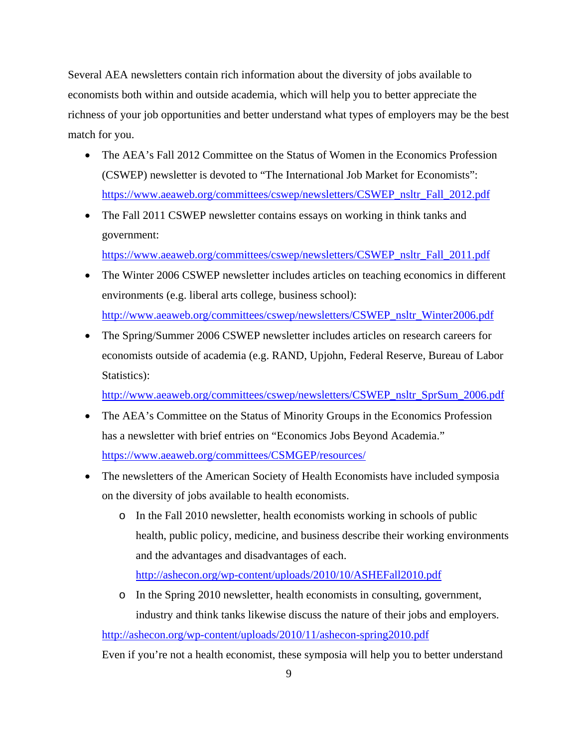Several AEA newsletters contain rich information about the diversity of jobs available to economists both within and outside academia, which will help you to better appreciate the richness of your job opportunities and better understand what types of employers may be the best match for you.

- The AEA's Fall 2012 Committee on the Status of Women in the Economics Profession (CSWEP) newsletter is devoted to "The International Job Market for Economists": https://www.aeaweb.org/committees/cswep/newsletters/CSWEP\_nsltr\_Fall\_2012.pdf
- The Fall 2011 CSWEP newsletter contains essays on working in think tanks and government:

https://www.aeaweb.org/committees/cswep/newsletters/CSWEP\_nsltr\_Fall\_2011.pdf

- The Winter 2006 CSWEP newsletter includes articles on teaching economics in different environments (e.g. liberal arts college, business school): http://www.aeaweb.org/committees/cswep/newsletters/CSWEP\_nsltr\_Winter2006.pdf
- The Spring/Summer 2006 CSWEP newsletter includes articles on research careers for economists outside of academia (e.g. RAND, Upjohn, Federal Reserve, Bureau of Labor Statistics):

http://www.aeaweb.org/committees/cswep/newsletters/CSWEP\_nsltr\_SprSum\_2006.pdf

- The AEA's Committee on the Status of Minority Groups in the Economics Profession has a newsletter with brief entries on "Economics Jobs Beyond Academia." https://www.aeaweb.org/committees/CSMGEP/resources/
- The newsletters of the American Society of Health Economists have included symposia on the diversity of jobs available to health economists.
	- o In the Fall 2010 newsletter, health economists working in schools of public health, public policy, medicine, and business describe their working environments and the advantages and disadvantages of each.

http://ashecon.org/wp-content/uploads/2010/10/ASHEFall2010.pdf

o In the Spring 2010 newsletter, health economists in consulting, government, industry and think tanks likewise discuss the nature of their jobs and employers.

http://ashecon.org/wp-content/uploads/2010/11/ashecon-spring2010.pdf

Even if you're not a health economist, these symposia will help you to better understand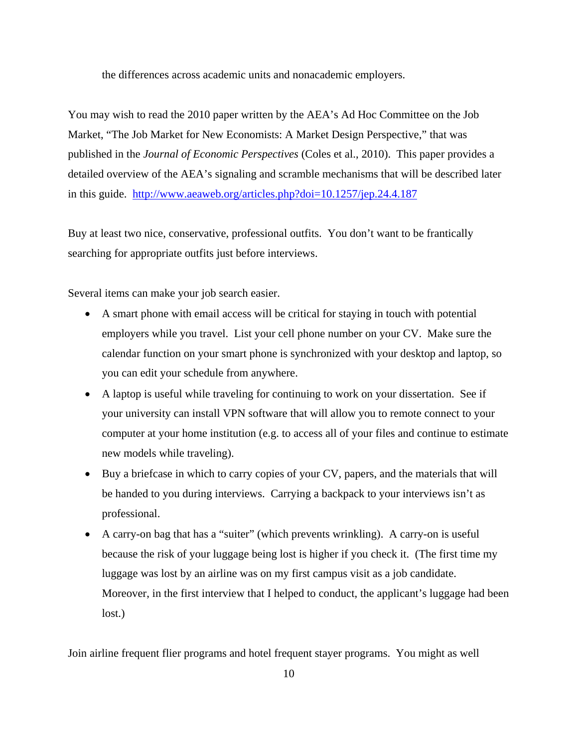the differences across academic units and nonacademic employers.

You may wish to read the 2010 paper written by the AEA's Ad Hoc Committee on the Job Market, "The Job Market for New Economists: A Market Design Perspective," that was published in the *Journal of Economic Perspectives* (Coles et al., 2010). This paper provides a detailed overview of the AEA's signaling and scramble mechanisms that will be described later in this guide. http://www.aeaweb.org/articles.php?doi=10.1257/jep.24.4.187

Buy at least two nice, conservative, professional outfits. You don't want to be frantically searching for appropriate outfits just before interviews.

Several items can make your job search easier.

- A smart phone with email access will be critical for staying in touch with potential employers while you travel. List your cell phone number on your CV. Make sure the calendar function on your smart phone is synchronized with your desktop and laptop, so you can edit your schedule from anywhere.
- A laptop is useful while traveling for continuing to work on your dissertation. See if your university can install VPN software that will allow you to remote connect to your computer at your home institution (e.g. to access all of your files and continue to estimate new models while traveling).
- Buy a briefcase in which to carry copies of your CV, papers, and the materials that will be handed to you during interviews. Carrying a backpack to your interviews isn't as professional.
- A carry-on bag that has a "suiter" (which prevents wrinkling). A carry-on is useful because the risk of your luggage being lost is higher if you check it. (The first time my luggage was lost by an airline was on my first campus visit as a job candidate. Moreover, in the first interview that I helped to conduct, the applicant's luggage had been lost.)

Join airline frequent flier programs and hotel frequent stayer programs. You might as well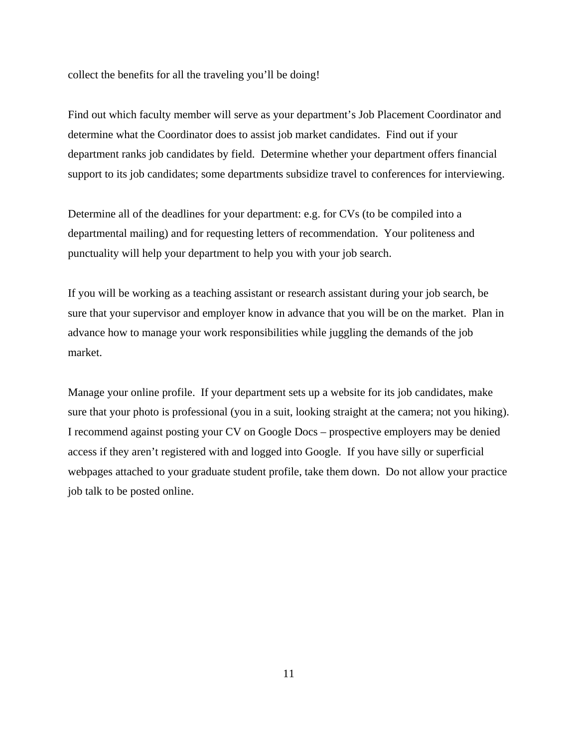collect the benefits for all the traveling you'll be doing!

Find out which faculty member will serve as your department's Job Placement Coordinator and determine what the Coordinator does to assist job market candidates. Find out if your department ranks job candidates by field. Determine whether your department offers financial support to its job candidates; some departments subsidize travel to conferences for interviewing.

Determine all of the deadlines for your department: e.g. for CVs (to be compiled into a departmental mailing) and for requesting letters of recommendation. Your politeness and punctuality will help your department to help you with your job search.

If you will be working as a teaching assistant or research assistant during your job search, be sure that your supervisor and employer know in advance that you will be on the market. Plan in advance how to manage your work responsibilities while juggling the demands of the job market.

Manage your online profile. If your department sets up a website for its job candidates, make sure that your photo is professional (you in a suit, looking straight at the camera; not you hiking). I recommend against posting your CV on Google Docs – prospective employers may be denied access if they aren't registered with and logged into Google. If you have silly or superficial webpages attached to your graduate student profile, take them down. Do not allow your practice job talk to be posted online.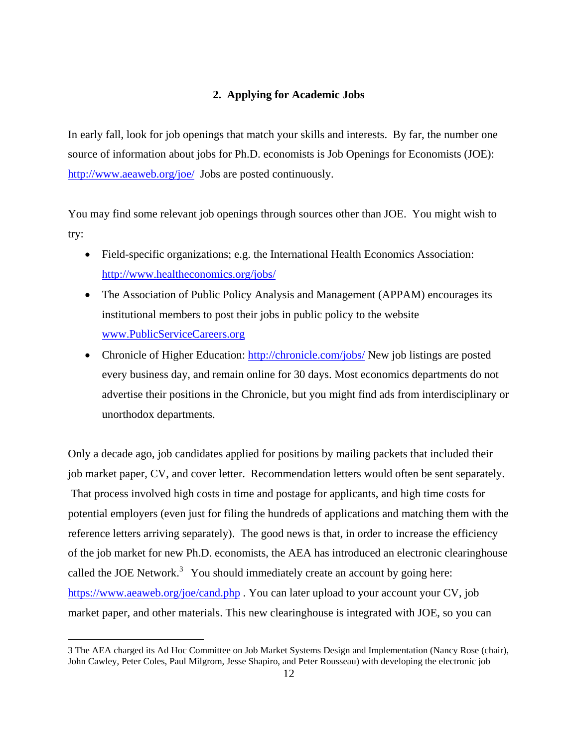### **2. Applying for Academic Jobs**

In early fall, look for job openings that match your skills and interests. By far, the number one source of information about jobs for Ph.D. economists is Job Openings for Economists (JOE): http://www.aeaweb.org/joe/ Jobs are posted continuously.

You may find some relevant job openings through sources other than JOE. You might wish to try:

- Field-specific organizations; e.g. the International Health Economics Association: http://www.healtheconomics.org/jobs/
- The Association of Public Policy Analysis and Management (APPAM) encourages its institutional members to post their jobs in public policy to the website www.PublicServiceCareers.org
- Chronicle of Higher Education: http://chronicle.com/jobs/ New job listings are posted every business day, and remain online for 30 days. Most economics departments do not advertise their positions in the Chronicle, but you might find ads from interdisciplinary or unorthodox departments.

Only a decade ago, job candidates applied for positions by mailing packets that included their job market paper, CV, and cover letter. Recommendation letters would often be sent separately. That process involved high costs in time and postage for applicants, and high time costs for potential employers (even just for filing the hundreds of applications and matching them with the reference letters arriving separately). The good news is that, in order to increase the efficiency of the job market for new Ph.D. economists, the AEA has introduced an electronic clearinghouse called the JOE Network.<sup>3</sup> You should immediately create an account by going here: https://www.aeaweb.org/joe/cand.php . You can later upload to your account your CV, job market paper, and other materials. This new clearinghouse is integrated with JOE, so you can

 $\overline{a}$ 

<sup>3</sup> The AEA charged its Ad Hoc Committee on Job Market Systems Design and Implementation (Nancy Rose (chair), John Cawley, Peter Coles, Paul Milgrom, Jesse Shapiro, and Peter Rousseau) with developing the electronic job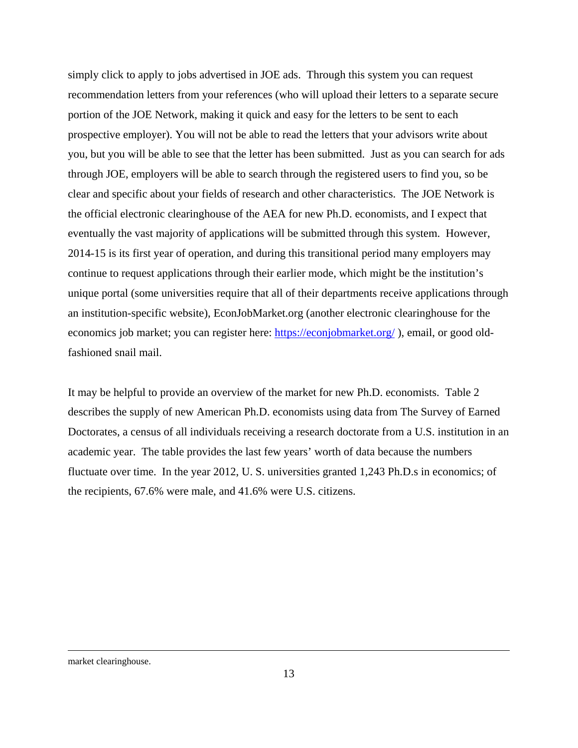simply click to apply to jobs advertised in JOE ads. Through this system you can request recommendation letters from your references (who will upload their letters to a separate secure portion of the JOE Network, making it quick and easy for the letters to be sent to each prospective employer). You will not be able to read the letters that your advisors write about you, but you will be able to see that the letter has been submitted. Just as you can search for ads through JOE, employers will be able to search through the registered users to find you, so be clear and specific about your fields of research and other characteristics. The JOE Network is the official electronic clearinghouse of the AEA for new Ph.D. economists, and I expect that eventually the vast majority of applications will be submitted through this system. However, 2014-15 is its first year of operation, and during this transitional period many employers may continue to request applications through their earlier mode, which might be the institution's unique portal (some universities require that all of their departments receive applications through an institution-specific website), EconJobMarket.org (another electronic clearinghouse for the economics job market; you can register here: https://econjobmarket.org/ ), email, or good oldfashioned snail mail.

It may be helpful to provide an overview of the market for new Ph.D. economists. Table 2 describes the supply of new American Ph.D. economists using data from The Survey of Earned Doctorates, a census of all individuals receiving a research doctorate from a U.S. institution in an academic year. The table provides the last few years' worth of data because the numbers fluctuate over time. In the year 2012, U. S. universities granted 1,243 Ph.D.s in economics; of the recipients, 67.6% were male, and 41.6% were U.S. citizens.

#### market clearinghouse.

 $\overline{a}$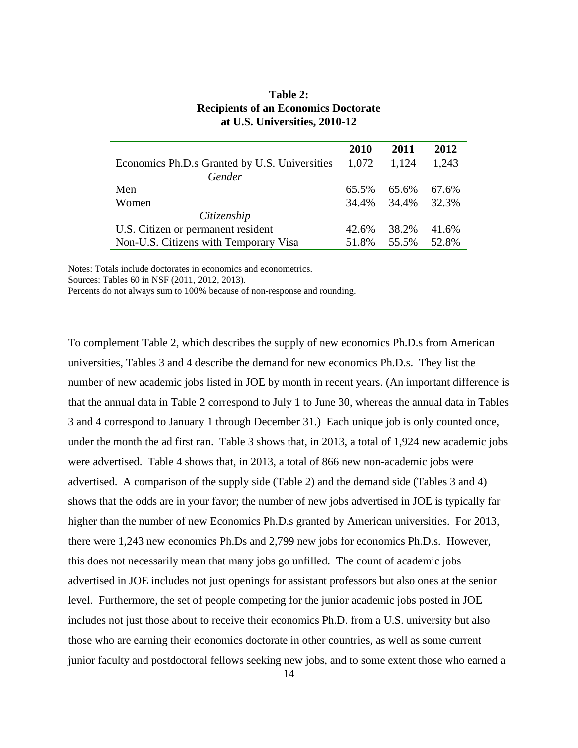|                                               | 2010  | 2011  | 2012  |
|-----------------------------------------------|-------|-------|-------|
| Economics Ph.D.s Granted by U.S. Universities | 1,072 | 1.124 | 1,243 |
| Gender                                        |       |       |       |
| Men                                           | 65.5% | 65.6% | 67.6% |
| Women                                         | 34.4% | 34.4% | 32.3% |
| Citizenship                                   |       |       |       |
| U.S. Citizen or permanent resident            | 42.6% | 38.2% | 41.6% |
| Non-U.S. Citizens with Temporary Visa         | 51.8% | 55.5% | 52.8% |

## **Table 2: Recipients of an Economics Doctorate at U.S. Universities, 2010-12**

Notes: Totals include doctorates in economics and econometrics.

Sources: Tables 60 in NSF (2011, 2012, 2013).

Percents do not always sum to 100% because of non-response and rounding.

To complement Table 2, which describes the supply of new economics Ph.D.s from American universities, Tables 3 and 4 describe the demand for new economics Ph.D.s. They list the number of new academic jobs listed in JOE by month in recent years. (An important difference is that the annual data in Table 2 correspond to July 1 to June 30, whereas the annual data in Tables 3 and 4 correspond to January 1 through December 31.) Each unique job is only counted once, under the month the ad first ran. Table 3 shows that, in 2013, a total of 1,924 new academic jobs were advertised. Table 4 shows that, in 2013, a total of 866 new non-academic jobs were advertised. A comparison of the supply side (Table 2) and the demand side (Tables 3 and 4) shows that the odds are in your favor; the number of new jobs advertised in JOE is typically far higher than the number of new Economics Ph.D.s granted by American universities. For 2013, there were 1,243 new economics Ph.Ds and 2,799 new jobs for economics Ph.D.s. However, this does not necessarily mean that many jobs go unfilled. The count of academic jobs advertised in JOE includes not just openings for assistant professors but also ones at the senior level. Furthermore, the set of people competing for the junior academic jobs posted in JOE includes not just those about to receive their economics Ph.D. from a U.S. university but also those who are earning their economics doctorate in other countries, as well as some current junior faculty and postdoctoral fellows seeking new jobs, and to some extent those who earned a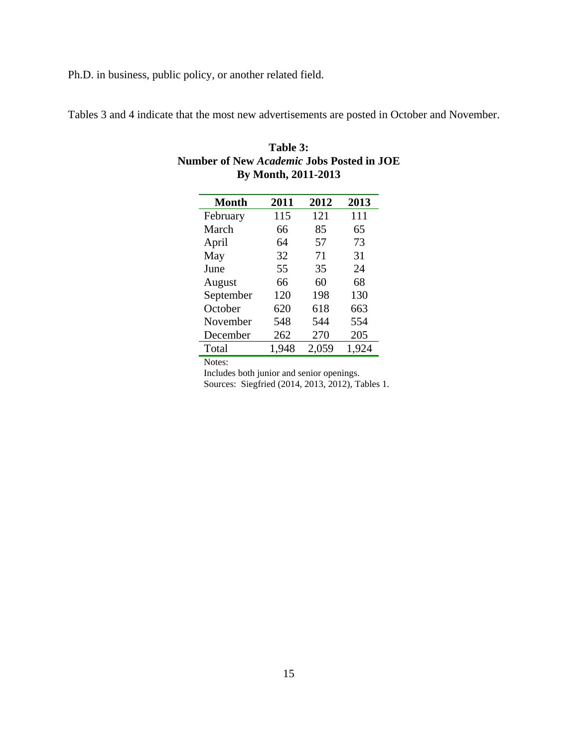Ph.D. in business, public policy, or another related field.

Tables 3 and 4 indicate that the most new advertisements are posted in October and November.

| <b>Month</b> | 2011  | 2012  | 2013  |
|--------------|-------|-------|-------|
| February     | 115   | 121   | 111   |
| March        | 66    | 85    | 65    |
| April        | 64    | 57    | 73    |
| May          | 32    | 71    | 31    |
| June         | 55    | 35    | 24    |
| August       | 66    | 60    | 68    |
| September    | 120   | 198   | 130   |
| October      | 620   | 618   | 663   |
| November     | 548   | 544   | 554   |
| December     | 262   | 270   | 205   |
| Total        | 1,948 | 2,059 | 1,924 |

| Table 3:                                         |
|--------------------------------------------------|
| <b>Number of New Academic Jobs Posted in JOE</b> |
| By Month, 2011-2013                              |

Notes:

Includes both junior and senior openings.

Sources: Siegfried (2014, 2013, 2012), Tables 1.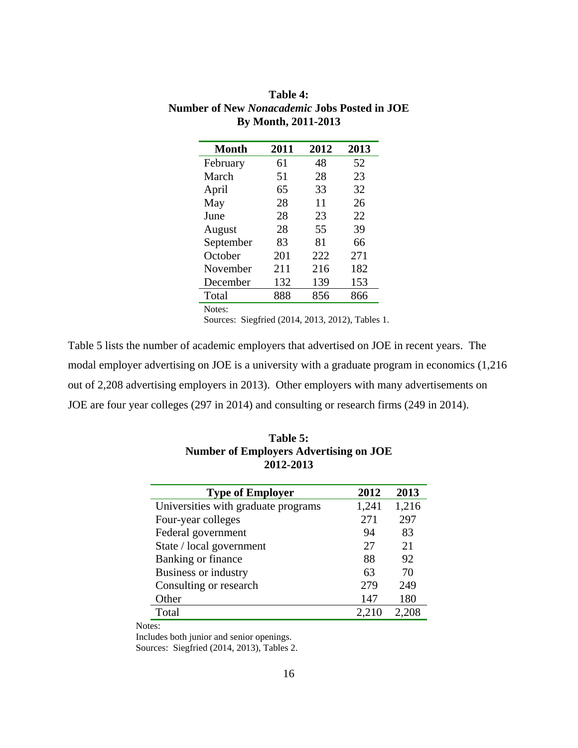| Month     | 2011 | 2012 | 2013 |
|-----------|------|------|------|
| February  | 61   | 48   | 52   |
| March     | 51   | 28   | 23   |
| April     | 65   | 33   | 32   |
| May       | 28   | 11   | 26   |
| June      | 28   | 23   | 22   |
| August    | 28   | 55   | 39   |
| September | 83   | 81   | 66   |
| October   | 201  | 222  | 271  |
| November  | 211  | 216  | 182  |
| December  | 132  | 139  | 153  |
| Total     | 888  | 856  | 866  |
| Notes:    |      |      |      |

**Table 4: Number of New** *Nonacademic* **Jobs Posted in JOE By Month, 2011-2013** 

Sources: Siegfried (2014, 2013, 2012), Tables 1.

Table 5 lists the number of academic employers that advertised on JOE in recent years. The modal employer advertising on JOE is a university with a graduate program in economics (1,216 out of 2,208 advertising employers in 2013). Other employers with many advertisements on JOE are four year colleges (297 in 2014) and consulting or research firms (249 in 2014).

| <b>Type of Employer</b>             | 2012  | 2013  |
|-------------------------------------|-------|-------|
| Universities with graduate programs | 1,241 | 1,216 |
| Four-year colleges                  | 271   | 297   |
| Federal government                  | 94    | 83    |
| State / local government            | 27    | 21    |
| Banking or finance                  | 88    | 92    |
| <b>Business or industry</b>         | 63    | 70    |
| Consulting or research              | 279   | 249   |
| Other                               | 147   | 180   |
| Total                               | 2,210 | 2.208 |

**Table 5: Number of Employers Advertising on JOE 2012-2013** 

Notes:

Includes both junior and senior openings.

Sources: Siegfried (2014, 2013), Tables 2.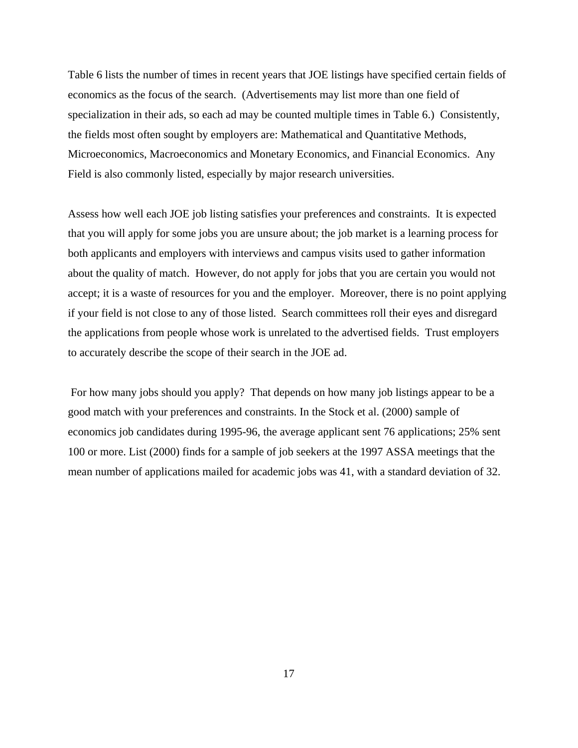Table 6 lists the number of times in recent years that JOE listings have specified certain fields of economics as the focus of the search. (Advertisements may list more than one field of specialization in their ads, so each ad may be counted multiple times in Table 6.) Consistently, the fields most often sought by employers are: Mathematical and Quantitative Methods, Microeconomics, Macroeconomics and Monetary Economics, and Financial Economics. Any Field is also commonly listed, especially by major research universities.

Assess how well each JOE job listing satisfies your preferences and constraints. It is expected that you will apply for some jobs you are unsure about; the job market is a learning process for both applicants and employers with interviews and campus visits used to gather information about the quality of match. However, do not apply for jobs that you are certain you would not accept; it is a waste of resources for you and the employer. Moreover, there is no point applying if your field is not close to any of those listed. Search committees roll their eyes and disregard the applications from people whose work is unrelated to the advertised fields. Trust employers to accurately describe the scope of their search in the JOE ad.

 For how many jobs should you apply? That depends on how many job listings appear to be a good match with your preferences and constraints. In the Stock et al. (2000) sample of economics job candidates during 1995-96, the average applicant sent 76 applications; 25% sent 100 or more. List (2000) finds for a sample of job seekers at the 1997 ASSA meetings that the mean number of applications mailed for academic jobs was 41, with a standard deviation of 32.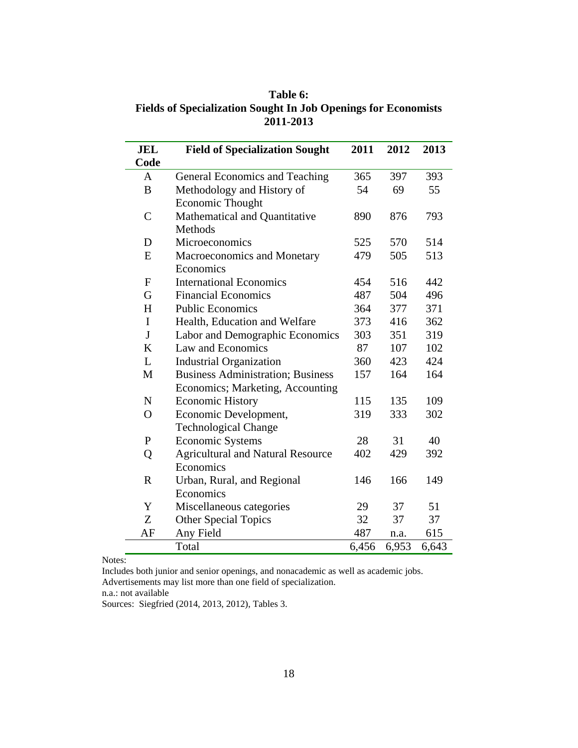**Table 6: Fields of Specialization Sought In Job Openings for Economists 2011-2013** 

| <b>JEL</b>     | <b>Field of Specialization Sought</b>    | 2011  | 2012  | 2013  |
|----------------|------------------------------------------|-------|-------|-------|
| Code           |                                          |       |       |       |
| A              | <b>General Economics and Teaching</b>    | 365   | 397   | 393   |
| B              | Methodology and History of               | 54    | 69    | 55    |
|                | Economic Thought                         |       |       |       |
| $\overline{C}$ | Mathematical and Quantitative            | 890   | 876   | 793   |
|                | Methods                                  |       |       |       |
| D              | Microeconomics                           | 525   | 570   | 514   |
| E              | Macroeconomics and Monetary              | 479   | 505   | 513   |
|                | Economics                                |       |       |       |
| $\mathbf{F}$   | <b>International Economics</b>           | 454   | 516   | 442   |
| G              | <b>Financial Economics</b>               | 487   | 504   | 496   |
| H              | <b>Public Economics</b>                  | 364   | 377   | 371   |
| $\mathbf I$    | Health, Education and Welfare            | 373   | 416   | 362   |
| $\mathbf{J}$   | Labor and Demographic Economics          | 303   | 351   | 319   |
| $\bf K$        | Law and Economics                        | 87    | 107   | 102   |
| L              | <b>Industrial Organization</b>           | 360   | 423   | 424   |
| M              | <b>Business Administration; Business</b> | 157   | 164   | 164   |
|                | Economics; Marketing, Accounting         |       |       |       |
| $\mathbf N$    | <b>Economic History</b>                  | 115   | 135   | 109   |
| $\overline{O}$ | Economic Development,                    | 319   | 333   | 302   |
|                | <b>Technological Change</b>              |       |       |       |
| $\mathbf{P}$   | <b>Economic Systems</b>                  | 28    | 31    | 40    |
| Q              | <b>Agricultural and Natural Resource</b> | 402   | 429   | 392   |
|                | Economics                                |       |       |       |
| $\mathbf R$    | Urban, Rural, and Regional               | 146   | 166   | 149   |
|                | Economics                                |       |       |       |
| Y              | Miscellaneous categories                 | 29    | 37    | 51    |
| Z              | <b>Other Special Topics</b>              | 32    | 37    | 37    |
| AF             | Any Field                                | 487   | n.a.  | 615   |
|                | Total                                    | 6,456 | 6,953 | 6,643 |

Notes:

Includes both junior and senior openings, and nonacademic as well as academic jobs. Advertisements may list more than one field of specialization.

n.a.: not available

Sources: Siegfried (2014, 2013, 2012), Tables 3.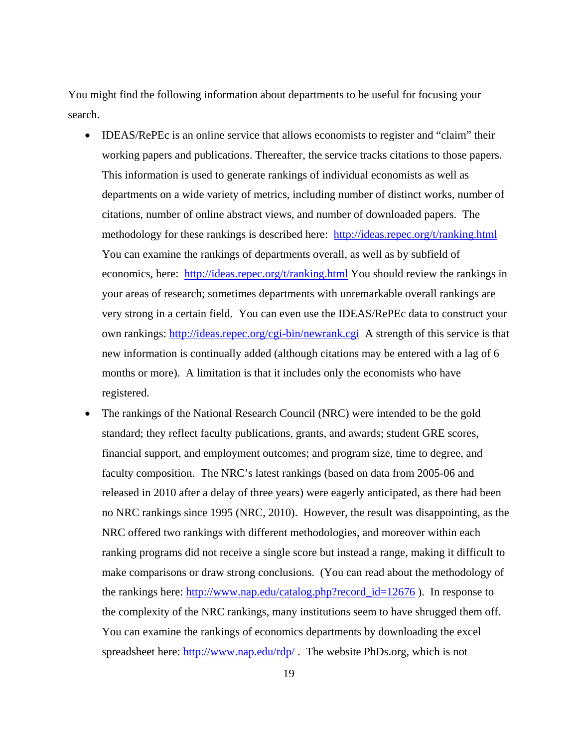You might find the following information about departments to be useful for focusing your search.

- IDEAS/RePEc is an online service that allows economists to register and "claim" their working papers and publications. Thereafter, the service tracks citations to those papers. This information is used to generate rankings of individual economists as well as departments on a wide variety of metrics, including number of distinct works, number of citations, number of online abstract views, and number of downloaded papers. The methodology for these rankings is described here: http://ideas.repec.org/t/ranking.html You can examine the rankings of departments overall, as well as by subfield of economics, here: http://ideas.repec.org/t/ranking.html You should review the rankings in your areas of research; sometimes departments with unremarkable overall rankings are very strong in a certain field. You can even use the IDEAS/RePEc data to construct your own rankings: http://ideas.repec.org/cgi-bin/newrank.cgi A strength of this service is that new information is continually added (although citations may be entered with a lag of 6 months or more). A limitation is that it includes only the economists who have registered.
- The rankings of the National Research Council (NRC) were intended to be the gold standard; they reflect faculty publications, grants, and awards; student GRE scores, financial support, and employment outcomes; and program size, time to degree, and faculty composition. The NRC's latest rankings (based on data from 2005-06 and released in 2010 after a delay of three years) were eagerly anticipated, as there had been no NRC rankings since 1995 (NRC, 2010). However, the result was disappointing, as the NRC offered two rankings with different methodologies, and moreover within each ranking programs did not receive a single score but instead a range, making it difficult to make comparisons or draw strong conclusions. (You can read about the methodology of the rankings here: http://www.nap.edu/catalog.php?record\_id=12676 ). In response to the complexity of the NRC rankings, many institutions seem to have shrugged them off. You can examine the rankings of economics departments by downloading the excel spreadsheet here: http://www.nap.edu/rdp/. The website PhDs.org, which is not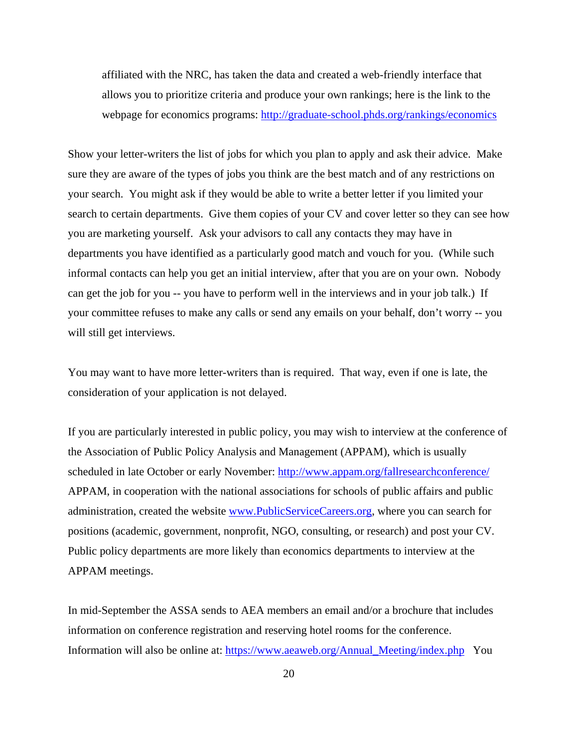affiliated with the NRC, has taken the data and created a web-friendly interface that allows you to prioritize criteria and produce your own rankings; here is the link to the webpage for economics programs: http://graduate-school.phds.org/rankings/economics

Show your letter-writers the list of jobs for which you plan to apply and ask their advice. Make sure they are aware of the types of jobs you think are the best match and of any restrictions on your search. You might ask if they would be able to write a better letter if you limited your search to certain departments. Give them copies of your CV and cover letter so they can see how you are marketing yourself. Ask your advisors to call any contacts they may have in departments you have identified as a particularly good match and vouch for you. (While such informal contacts can help you get an initial interview, after that you are on your own. Nobody can get the job for you -- you have to perform well in the interviews and in your job talk.) If your committee refuses to make any calls or send any emails on your behalf, don't worry -- you will still get interviews.

You may want to have more letter-writers than is required. That way, even if one is late, the consideration of your application is not delayed.

If you are particularly interested in public policy, you may wish to interview at the conference of the Association of Public Policy Analysis and Management (APPAM), which is usually scheduled in late October or early November: http://www.appam.org/fallresearchconference/ APPAM, in cooperation with the national associations for schools of public affairs and public administration, created the website www.PublicServiceCareers.org, where you can search for positions (academic, government, nonprofit, NGO, consulting, or research) and post your CV. Public policy departments are more likely than economics departments to interview at the APPAM meetings.

In mid-September the ASSA sends to AEA members an email and/or a brochure that includes information on conference registration and reserving hotel rooms for the conference. Information will also be online at: https://www.aeaweb.org/Annual\_Meeting/index.php You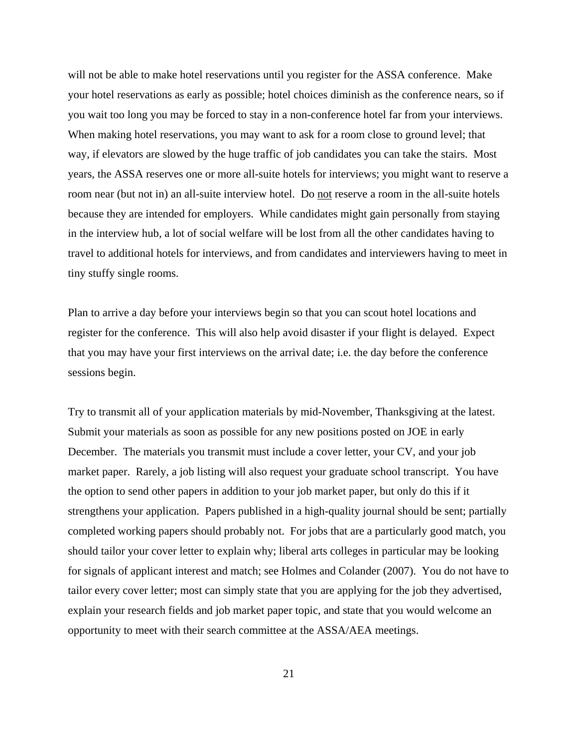will not be able to make hotel reservations until you register for the ASSA conference. Make your hotel reservations as early as possible; hotel choices diminish as the conference nears, so if you wait too long you may be forced to stay in a non-conference hotel far from your interviews. When making hotel reservations, you may want to ask for a room close to ground level; that way, if elevators are slowed by the huge traffic of job candidates you can take the stairs. Most years, the ASSA reserves one or more all-suite hotels for interviews; you might want to reserve a room near (but not in) an all-suite interview hotel. Do not reserve a room in the all-suite hotels because they are intended for employers. While candidates might gain personally from staying in the interview hub, a lot of social welfare will be lost from all the other candidates having to travel to additional hotels for interviews, and from candidates and interviewers having to meet in tiny stuffy single rooms.

Plan to arrive a day before your interviews begin so that you can scout hotel locations and register for the conference. This will also help avoid disaster if your flight is delayed. Expect that you may have your first interviews on the arrival date; i.e. the day before the conference sessions begin.

Try to transmit all of your application materials by mid-November, Thanksgiving at the latest. Submit your materials as soon as possible for any new positions posted on JOE in early December. The materials you transmit must include a cover letter, your CV, and your job market paper. Rarely, a job listing will also request your graduate school transcript. You have the option to send other papers in addition to your job market paper, but only do this if it strengthens your application. Papers published in a high-quality journal should be sent; partially completed working papers should probably not. For jobs that are a particularly good match, you should tailor your cover letter to explain why; liberal arts colleges in particular may be looking for signals of applicant interest and match; see Holmes and Colander (2007). You do not have to tailor every cover letter; most can simply state that you are applying for the job they advertised, explain your research fields and job market paper topic, and state that you would welcome an opportunity to meet with their search committee at the ASSA/AEA meetings.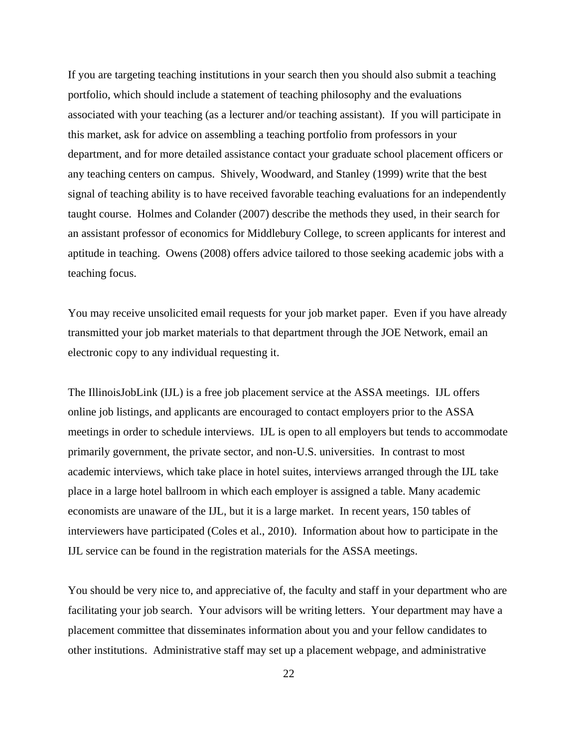If you are targeting teaching institutions in your search then you should also submit a teaching portfolio, which should include a statement of teaching philosophy and the evaluations associated with your teaching (as a lecturer and/or teaching assistant). If you will participate in this market, ask for advice on assembling a teaching portfolio from professors in your department, and for more detailed assistance contact your graduate school placement officers or any teaching centers on campus. Shively, Woodward, and Stanley (1999) write that the best signal of teaching ability is to have received favorable teaching evaluations for an independently taught course. Holmes and Colander (2007) describe the methods they used, in their search for an assistant professor of economics for Middlebury College, to screen applicants for interest and aptitude in teaching. Owens (2008) offers advice tailored to those seeking academic jobs with a teaching focus.

You may receive unsolicited email requests for your job market paper. Even if you have already transmitted your job market materials to that department through the JOE Network, email an electronic copy to any individual requesting it.

The IllinoisJobLink (IJL) is a free job placement service at the ASSA meetings. IJL offers online job listings, and applicants are encouraged to contact employers prior to the ASSA meetings in order to schedule interviews. IJL is open to all employers but tends to accommodate primarily government, the private sector, and non-U.S. universities. In contrast to most academic interviews, which take place in hotel suites, interviews arranged through the IJL take place in a large hotel ballroom in which each employer is assigned a table. Many academic economists are unaware of the IJL, but it is a large market. In recent years, 150 tables of interviewers have participated (Coles et al., 2010). Information about how to participate in the IJL service can be found in the registration materials for the ASSA meetings.

You should be very nice to, and appreciative of, the faculty and staff in your department who are facilitating your job search. Your advisors will be writing letters. Your department may have a placement committee that disseminates information about you and your fellow candidates to other institutions. Administrative staff may set up a placement webpage, and administrative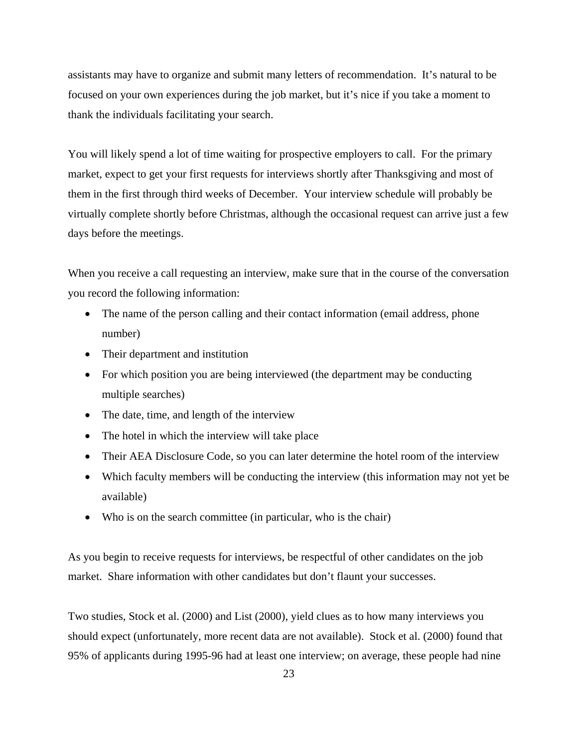assistants may have to organize and submit many letters of recommendation. It's natural to be focused on your own experiences during the job market, but it's nice if you take a moment to thank the individuals facilitating your search.

You will likely spend a lot of time waiting for prospective employers to call. For the primary market, expect to get your first requests for interviews shortly after Thanksgiving and most of them in the first through third weeks of December. Your interview schedule will probably be virtually complete shortly before Christmas, although the occasional request can arrive just a few days before the meetings.

When you receive a call requesting an interview, make sure that in the course of the conversation you record the following information:

- The name of the person calling and their contact information (email address, phone number)
- Their department and institution
- For which position you are being interviewed (the department may be conducting multiple searches)
- The date, time, and length of the interview
- The hotel in which the interview will take place
- Their AEA Disclosure Code, so you can later determine the hotel room of the interview
- Which faculty members will be conducting the interview (this information may not yet be available)
- Who is on the search committee (in particular, who is the chair)

As you begin to receive requests for interviews, be respectful of other candidates on the job market. Share information with other candidates but don't flaunt your successes.

Two studies, Stock et al. (2000) and List (2000), yield clues as to how many interviews you should expect (unfortunately, more recent data are not available). Stock et al. (2000) found that 95% of applicants during 1995-96 had at least one interview; on average, these people had nine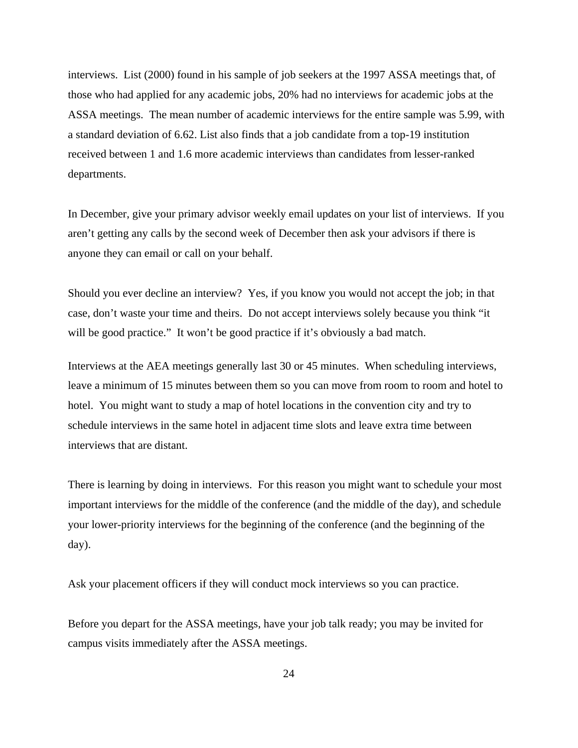interviews. List (2000) found in his sample of job seekers at the 1997 ASSA meetings that, of those who had applied for any academic jobs, 20% had no interviews for academic jobs at the ASSA meetings. The mean number of academic interviews for the entire sample was 5.99, with a standard deviation of 6.62. List also finds that a job candidate from a top-19 institution received between 1 and 1.6 more academic interviews than candidates from lesser-ranked departments.

In December, give your primary advisor weekly email updates on your list of interviews. If you aren't getting any calls by the second week of December then ask your advisors if there is anyone they can email or call on your behalf.

Should you ever decline an interview? Yes, if you know you would not accept the job; in that case, don't waste your time and theirs. Do not accept interviews solely because you think "it will be good practice." It won't be good practice if it's obviously a bad match.

Interviews at the AEA meetings generally last 30 or 45 minutes. When scheduling interviews, leave a minimum of 15 minutes between them so you can move from room to room and hotel to hotel. You might want to study a map of hotel locations in the convention city and try to schedule interviews in the same hotel in adjacent time slots and leave extra time between interviews that are distant.

There is learning by doing in interviews. For this reason you might want to schedule your most important interviews for the middle of the conference (and the middle of the day), and schedule your lower-priority interviews for the beginning of the conference (and the beginning of the day).

Ask your placement officers if they will conduct mock interviews so you can practice.

Before you depart for the ASSA meetings, have your job talk ready; you may be invited for campus visits immediately after the ASSA meetings.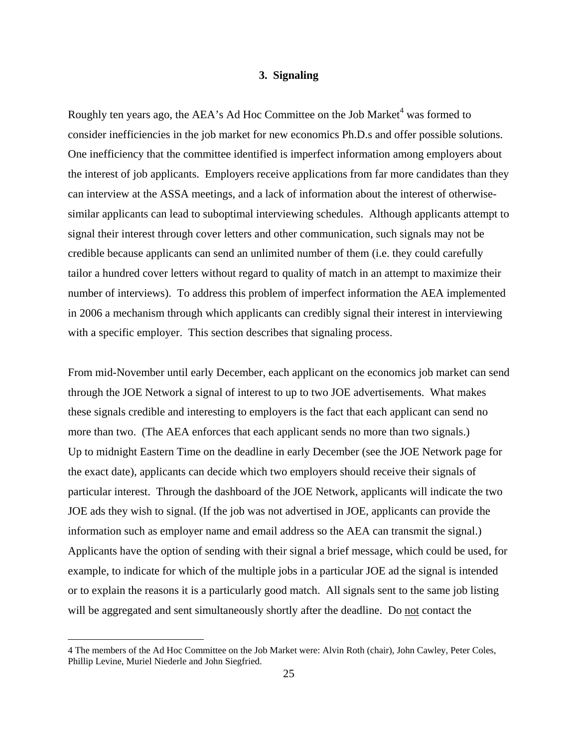### **3. Signaling**

Roughly ten years ago, the AEA's Ad Hoc Committee on the Job Market<sup>4</sup> was formed to consider inefficiencies in the job market for new economics Ph.D.s and offer possible solutions. One inefficiency that the committee identified is imperfect information among employers about the interest of job applicants. Employers receive applications from far more candidates than they can interview at the ASSA meetings, and a lack of information about the interest of otherwisesimilar applicants can lead to suboptimal interviewing schedules. Although applicants attempt to signal their interest through cover letters and other communication, such signals may not be credible because applicants can send an unlimited number of them (i.e. they could carefully tailor a hundred cover letters without regard to quality of match in an attempt to maximize their number of interviews). To address this problem of imperfect information the AEA implemented in 2006 a mechanism through which applicants can credibly signal their interest in interviewing with a specific employer. This section describes that signaling process.

From mid-November until early December, each applicant on the economics job market can send through the JOE Network a signal of interest to up to two JOE advertisements. What makes these signals credible and interesting to employers is the fact that each applicant can send no more than two. (The AEA enforces that each applicant sends no more than two signals.) Up to midnight Eastern Time on the deadline in early December (see the JOE Network page for the exact date), applicants can decide which two employers should receive their signals of particular interest. Through the dashboard of the JOE Network, applicants will indicate the two JOE ads they wish to signal. (If the job was not advertised in JOE, applicants can provide the information such as employer name and email address so the AEA can transmit the signal.) Applicants have the option of sending with their signal a brief message, which could be used, for example, to indicate for which of the multiple jobs in a particular JOE ad the signal is intended or to explain the reasons it is a particularly good match. All signals sent to the same job listing will be aggregated and sent simultaneously shortly after the deadline. Do not contact the

 $\overline{a}$ 

<sup>4</sup> The members of the Ad Hoc Committee on the Job Market were: Alvin Roth (chair), John Cawley, Peter Coles, Phillip Levine, Muriel Niederle and John Siegfried.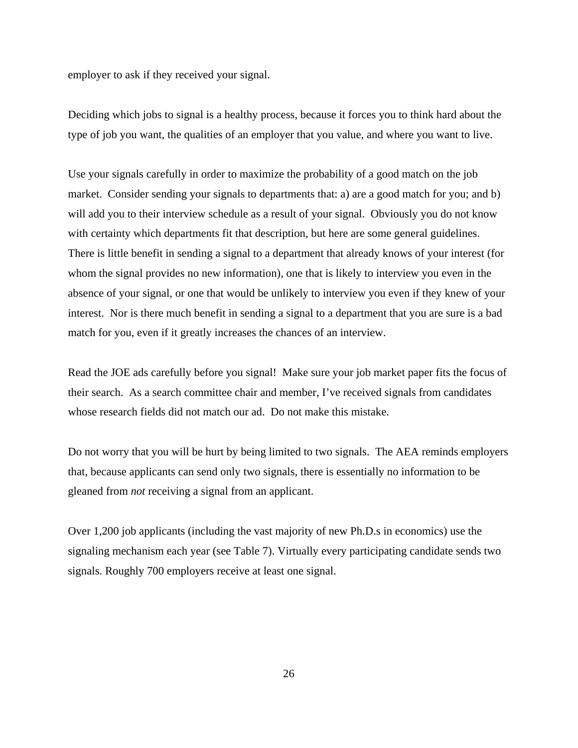employer to ask if they received your signal.

Deciding which jobs to signal is a healthy process, because it forces you to think hard about the type of job you want, the qualities of an employer that you value, and where you want to live.

Use your signals carefully in order to maximize the probability of a good match on the job market. Consider sending your signals to departments that: a) are a good match for you; and b) will add you to their interview schedule as a result of your signal. Obviously you do not know with certainty which departments fit that description, but here are some general guidelines. There is little benefit in sending a signal to a department that already knows of your interest (for whom the signal provides no new information), one that is likely to interview you even in the absence of your signal, or one that would be unlikely to interview you even if they knew of your interest. Nor is there much benefit in sending a signal to a department that you are sure is a bad match for you, even if it greatly increases the chances of an interview.

Read the JOE ads carefully before you signal! Make sure your job market paper fits the focus of their search. As a search committee chair and member, I've received signals from candidates whose research fields did not match our ad. Do not make this mistake.

Do not worry that you will be hurt by being limited to two signals. The AEA reminds employers that, because applicants can send only two signals, there is essentially no information to be gleaned from *not* receiving a signal from an applicant.

Over 1,200 job applicants (including the vast majority of new Ph.D.s in economics) use the signaling mechanism each year (see Table 7). Virtually every participating candidate sends two signals. Roughly 700 employers receive at least one signal.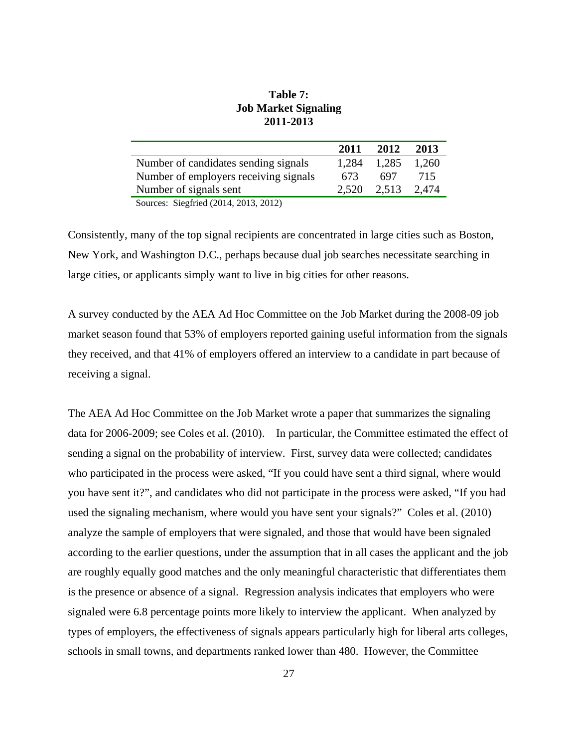| 2011-2013                                                                                                  |       |       |       |
|------------------------------------------------------------------------------------------------------------|-------|-------|-------|
|                                                                                                            | 2011  | 2012  | 2013  |
| Number of candidates sending signals                                                                       | 1,284 | 1,285 | 1,260 |
| Number of employers receiving signals                                                                      | 673   | 697   | 715   |
| Number of signals sent                                                                                     | 2.520 | 2,513 | 2,474 |
| $\theta$ , $\theta$ , $\theta$ , $\theta$ , $\theta$ , $\theta$ , $\theta$ , $\theta$ , $\theta$<br>$\sim$ |       |       |       |

## **Table 7: Job Market Signaling 2011-2013**

Sources: Siegfried (2014, 2013, 2012)

Consistently, many of the top signal recipients are concentrated in large cities such as Boston, New York, and Washington D.C., perhaps because dual job searches necessitate searching in large cities, or applicants simply want to live in big cities for other reasons.

A survey conducted by the AEA Ad Hoc Committee on the Job Market during the 2008-09 job market season found that 53% of employers reported gaining useful information from the signals they received, and that 41% of employers offered an interview to a candidate in part because of receiving a signal.

The AEA Ad Hoc Committee on the Job Market wrote a paper that summarizes the signaling data for 2006-2009; see Coles et al. (2010). In particular, the Committee estimated the effect of sending a signal on the probability of interview. First, survey data were collected; candidates who participated in the process were asked, "If you could have sent a third signal, where would you have sent it?", and candidates who did not participate in the process were asked, "If you had used the signaling mechanism, where would you have sent your signals?" Coles et al. (2010) analyze the sample of employers that were signaled, and those that would have been signaled according to the earlier questions, under the assumption that in all cases the applicant and the job are roughly equally good matches and the only meaningful characteristic that differentiates them is the presence or absence of a signal. Regression analysis indicates that employers who were signaled were 6.8 percentage points more likely to interview the applicant. When analyzed by types of employers, the effectiveness of signals appears particularly high for liberal arts colleges, schools in small towns, and departments ranked lower than 480. However, the Committee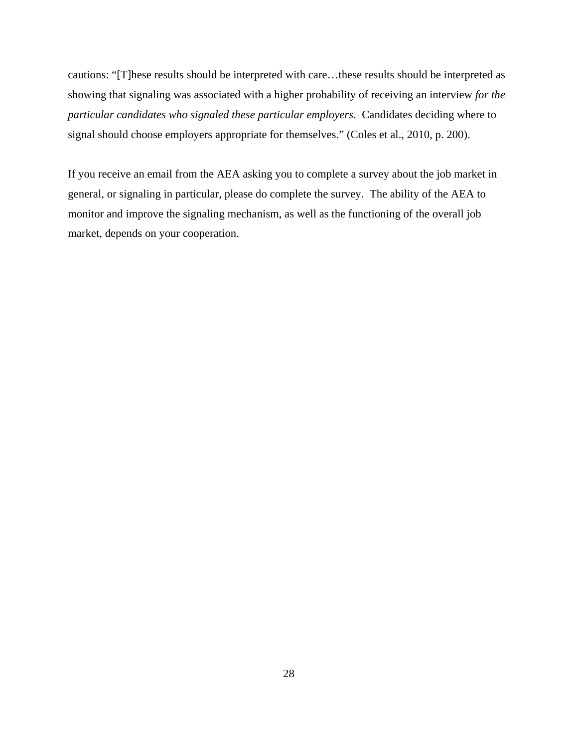cautions: "[T]hese results should be interpreted with care…these results should be interpreted as showing that signaling was associated with a higher probability of receiving an interview *for the particular candidates who signaled these particular employers*. Candidates deciding where to signal should choose employers appropriate for themselves." (Coles et al., 2010, p. 200).

If you receive an email from the AEA asking you to complete a survey about the job market in general, or signaling in particular, please do complete the survey. The ability of the AEA to monitor and improve the signaling mechanism, as well as the functioning of the overall job market, depends on your cooperation.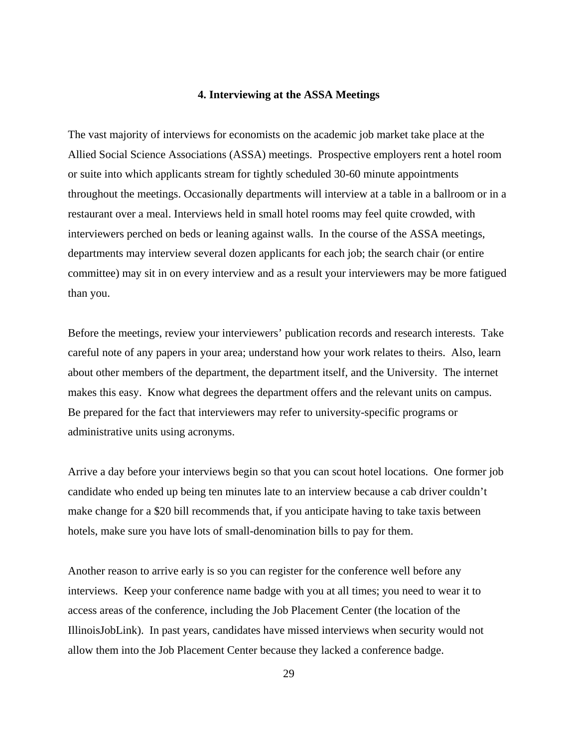### **4. Interviewing at the ASSA Meetings**

The vast majority of interviews for economists on the academic job market take place at the Allied Social Science Associations (ASSA) meetings. Prospective employers rent a hotel room or suite into which applicants stream for tightly scheduled 30-60 minute appointments throughout the meetings. Occasionally departments will interview at a table in a ballroom or in a restaurant over a meal. Interviews held in small hotel rooms may feel quite crowded, with interviewers perched on beds or leaning against walls. In the course of the ASSA meetings, departments may interview several dozen applicants for each job; the search chair (or entire committee) may sit in on every interview and as a result your interviewers may be more fatigued than you.

Before the meetings, review your interviewers' publication records and research interests. Take careful note of any papers in your area; understand how your work relates to theirs. Also, learn about other members of the department, the department itself, and the University. The internet makes this easy. Know what degrees the department offers and the relevant units on campus. Be prepared for the fact that interviewers may refer to university-specific programs or administrative units using acronyms.

Arrive a day before your interviews begin so that you can scout hotel locations. One former job candidate who ended up being ten minutes late to an interview because a cab driver couldn't make change for a \$20 bill recommends that, if you anticipate having to take taxis between hotels, make sure you have lots of small-denomination bills to pay for them.

Another reason to arrive early is so you can register for the conference well before any interviews. Keep your conference name badge with you at all times; you need to wear it to access areas of the conference, including the Job Placement Center (the location of the IllinoisJobLink). In past years, candidates have missed interviews when security would not allow them into the Job Placement Center because they lacked a conference badge.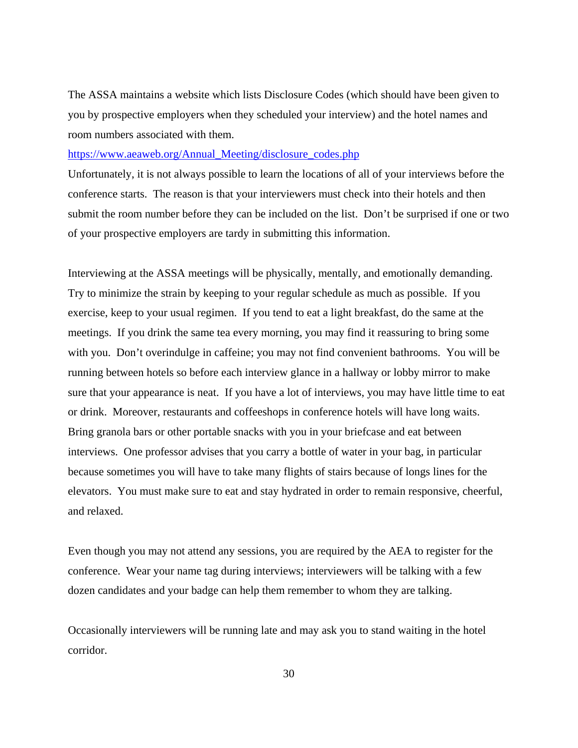The ASSA maintains a website which lists Disclosure Codes (which should have been given to you by prospective employers when they scheduled your interview) and the hotel names and room numbers associated with them.

https://www.aeaweb.org/Annual\_Meeting/disclosure\_codes.php

Unfortunately, it is not always possible to learn the locations of all of your interviews before the conference starts. The reason is that your interviewers must check into their hotels and then submit the room number before they can be included on the list. Don't be surprised if one or two of your prospective employers are tardy in submitting this information.

Interviewing at the ASSA meetings will be physically, mentally, and emotionally demanding. Try to minimize the strain by keeping to your regular schedule as much as possible. If you exercise, keep to your usual regimen. If you tend to eat a light breakfast, do the same at the meetings. If you drink the same tea every morning, you may find it reassuring to bring some with you. Don't overindulge in caffeine; you may not find convenient bathrooms. You will be running between hotels so before each interview glance in a hallway or lobby mirror to make sure that your appearance is neat. If you have a lot of interviews, you may have little time to eat or drink. Moreover, restaurants and coffeeshops in conference hotels will have long waits. Bring granola bars or other portable snacks with you in your briefcase and eat between interviews. One professor advises that you carry a bottle of water in your bag, in particular because sometimes you will have to take many flights of stairs because of longs lines for the elevators. You must make sure to eat and stay hydrated in order to remain responsive, cheerful, and relaxed.

Even though you may not attend any sessions, you are required by the AEA to register for the conference. Wear your name tag during interviews; interviewers will be talking with a few dozen candidates and your badge can help them remember to whom they are talking.

Occasionally interviewers will be running late and may ask you to stand waiting in the hotel corridor.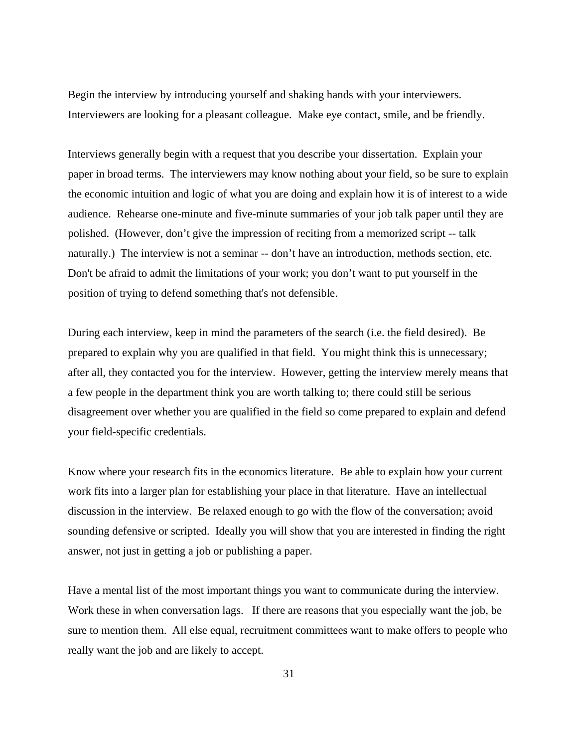Begin the interview by introducing yourself and shaking hands with your interviewers. Interviewers are looking for a pleasant colleague. Make eye contact, smile, and be friendly.

Interviews generally begin with a request that you describe your dissertation. Explain your paper in broad terms. The interviewers may know nothing about your field, so be sure to explain the economic intuition and logic of what you are doing and explain how it is of interest to a wide audience. Rehearse one-minute and five-minute summaries of your job talk paper until they are polished. (However, don't give the impression of reciting from a memorized script -- talk naturally.) The interview is not a seminar -- don't have an introduction, methods section, etc. Don't be afraid to admit the limitations of your work; you don't want to put yourself in the position of trying to defend something that's not defensible.

During each interview, keep in mind the parameters of the search (i.e. the field desired). Be prepared to explain why you are qualified in that field. You might think this is unnecessary; after all, they contacted you for the interview. However, getting the interview merely means that a few people in the department think you are worth talking to; there could still be serious disagreement over whether you are qualified in the field so come prepared to explain and defend your field-specific credentials.

Know where your research fits in the economics literature. Be able to explain how your current work fits into a larger plan for establishing your place in that literature. Have an intellectual discussion in the interview. Be relaxed enough to go with the flow of the conversation; avoid sounding defensive or scripted. Ideally you will show that you are interested in finding the right answer, not just in getting a job or publishing a paper.

Have a mental list of the most important things you want to communicate during the interview. Work these in when conversation lags. If there are reasons that you especially want the job, be sure to mention them. All else equal, recruitment committees want to make offers to people who really want the job and are likely to accept.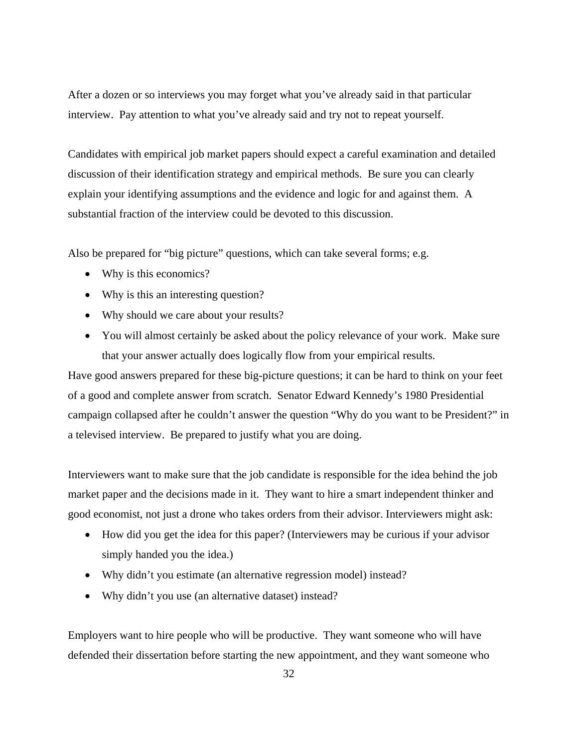After a dozen or so interviews you may forget what you've already said in that particular interview. Pay attention to what you've already said and try not to repeat yourself.

Candidates with empirical job market papers should expect a careful examination and detailed discussion of their identification strategy and empirical methods. Be sure you can clearly explain your identifying assumptions and the evidence and logic for and against them. A substantial fraction of the interview could be devoted to this discussion.

Also be prepared for "big picture" questions, which can take several forms; e.g.

- Why is this economics?
- Why is this an interesting question?
- Why should we care about your results?
- You will almost certainly be asked about the policy relevance of your work. Make sure that your answer actually does logically flow from your empirical results.

Have good answers prepared for these big-picture questions; it can be hard to think on your feet of a good and complete answer from scratch. Senator Edward Kennedy's 1980 Presidential campaign collapsed after he couldn't answer the question "Why do you want to be President?" in a televised interview. Be prepared to justify what you are doing.

Interviewers want to make sure that the job candidate is responsible for the idea behind the job market paper and the decisions made in it. They want to hire a smart independent thinker and good economist, not just a drone who takes orders from their advisor. Interviewers might ask:

- How did you get the idea for this paper? (Interviewers may be curious if your advisor simply handed you the idea.)
- Why didn't you estimate (an alternative regression model) instead?
- Why didn't you use (an alternative dataset) instead?

Employers want to hire people who will be productive. They want someone who will have defended their dissertation before starting the new appointment, and they want someone who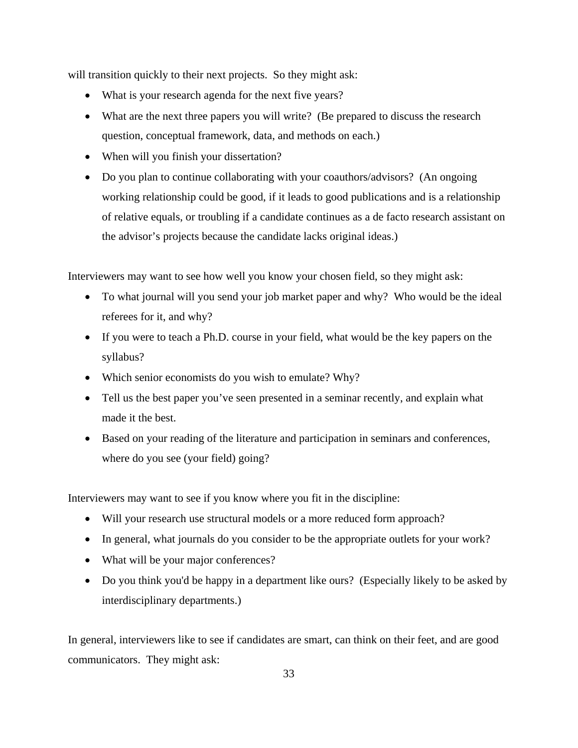will transition quickly to their next projects. So they might ask:

- What is your research agenda for the next five years?
- What are the next three papers you will write? (Be prepared to discuss the research question, conceptual framework, data, and methods on each.)
- When will you finish your dissertation?
- Do you plan to continue collaborating with your coauthors/advisors? (An ongoing working relationship could be good, if it leads to good publications and is a relationship of relative equals, or troubling if a candidate continues as a de facto research assistant on the advisor's projects because the candidate lacks original ideas.)

Interviewers may want to see how well you know your chosen field, so they might ask:

- To what journal will you send your job market paper and why? Who would be the ideal referees for it, and why?
- If you were to teach a Ph.D. course in your field, what would be the key papers on the syllabus?
- Which senior economists do you wish to emulate? Why?
- Tell us the best paper you've seen presented in a seminar recently, and explain what made it the best.
- Based on your reading of the literature and participation in seminars and conferences, where do you see (your field) going?

Interviewers may want to see if you know where you fit in the discipline:

- Will your research use structural models or a more reduced form approach?
- In general, what journals do you consider to be the appropriate outlets for your work?
- What will be your major conferences?
- Do you think you'd be happy in a department like ours? (Especially likely to be asked by interdisciplinary departments.)

In general, interviewers like to see if candidates are smart, can think on their feet, and are good communicators. They might ask: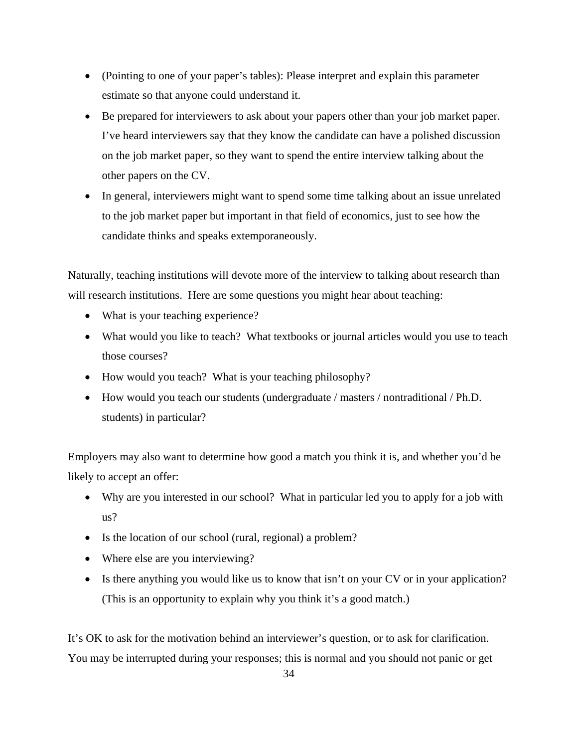- (Pointing to one of your paper's tables): Please interpret and explain this parameter estimate so that anyone could understand it.
- Be prepared for interviewers to ask about your papers other than your job market paper. I've heard interviewers say that they know the candidate can have a polished discussion on the job market paper, so they want to spend the entire interview talking about the other papers on the CV.
- In general, interviewers might want to spend some time talking about an issue unrelated to the job market paper but important in that field of economics, just to see how the candidate thinks and speaks extemporaneously.

Naturally, teaching institutions will devote more of the interview to talking about research than will research institutions. Here are some questions you might hear about teaching:

- What is your teaching experience?
- What would you like to teach? What textbooks or journal articles would you use to teach those courses?
- How would you teach? What is your teaching philosophy?
- How would you teach our students (undergraduate / masters / nontraditional / Ph.D. students) in particular?

Employers may also want to determine how good a match you think it is, and whether you'd be likely to accept an offer:

- Why are you interested in our school? What in particular led you to apply for a job with us?
- Is the location of our school (rural, regional) a problem?
- Where else are you interviewing?
- Is there anything you would like us to know that isn't on your CV or in your application? (This is an opportunity to explain why you think it's a good match.)

It's OK to ask for the motivation behind an interviewer's question, or to ask for clarification. You may be interrupted during your responses; this is normal and you should not panic or get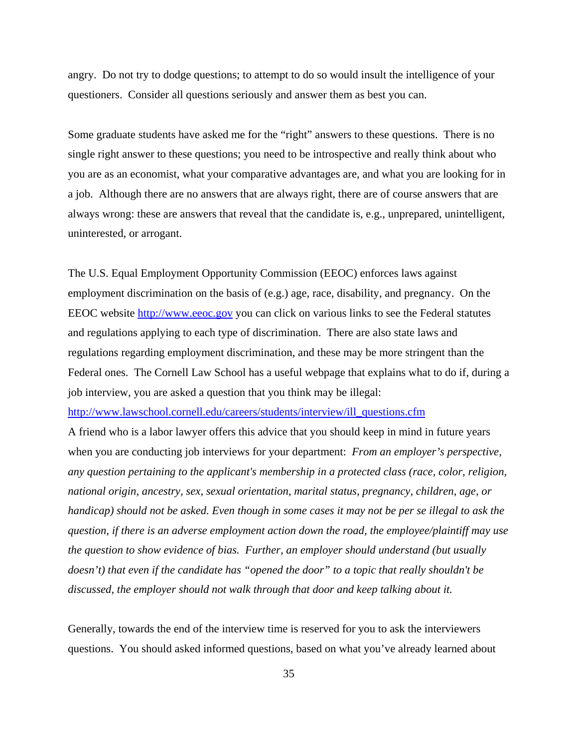angry. Do not try to dodge questions; to attempt to do so would insult the intelligence of your questioners. Consider all questions seriously and answer them as best you can.

Some graduate students have asked me for the "right" answers to these questions. There is no single right answer to these questions; you need to be introspective and really think about who you are as an economist, what your comparative advantages are, and what you are looking for in a job. Although there are no answers that are always right, there are of course answers that are always wrong: these are answers that reveal that the candidate is, e.g., unprepared, unintelligent, uninterested, or arrogant.

The U.S. Equal Employment Opportunity Commission (EEOC) enforces laws against employment discrimination on the basis of (e.g.) age, race, disability, and pregnancy. On the EEOC website http://www.eeoc.gov you can click on various links to see the Federal statutes and regulations applying to each type of discrimination. There are also state laws and regulations regarding employment discrimination, and these may be more stringent than the Federal ones. The Cornell Law School has a useful webpage that explains what to do if, during a job interview, you are asked a question that you think may be illegal:

http://www.lawschool.cornell.edu/careers/students/interview/ill\_questions.cfm

A friend who is a labor lawyer offers this advice that you should keep in mind in future years when you are conducting job interviews for your department: *From an employer's perspective, any question pertaining to the applicant's membership in a protected class (race, color, religion, national origin, ancestry, sex, sexual orientation, marital status, pregnancy, children, age, or handicap) should not be asked. Even though in some cases it may not be per se illegal to ask the question, if there is an adverse employment action down the road, the employee/plaintiff may use the question to show evidence of bias. Further, an employer should understand (but usually doesn't) that even if the candidate has "opened the door" to a topic that really shouldn't be discussed, the employer should not walk through that door and keep talking about it.*

Generally, towards the end of the interview time is reserved for you to ask the interviewers questions. You should asked informed questions, based on what you've already learned about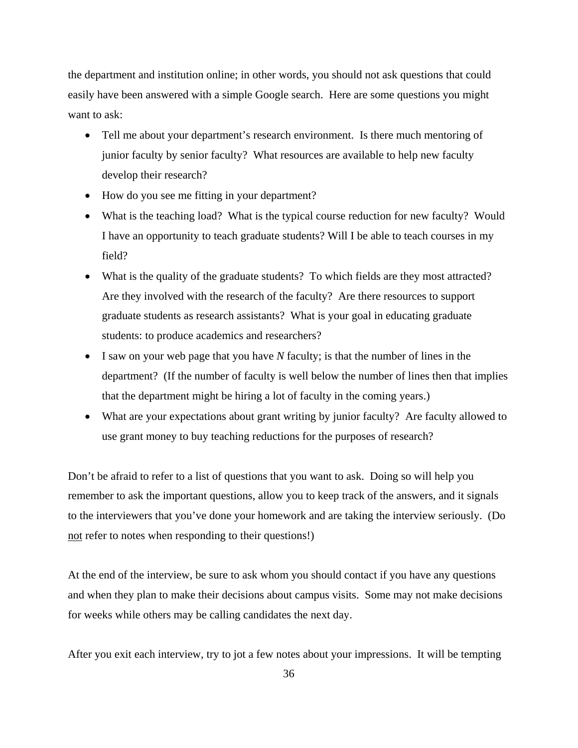the department and institution online; in other words, you should not ask questions that could easily have been answered with a simple Google search. Here are some questions you might want to ask:

- Tell me about your department's research environment. Is there much mentoring of junior faculty by senior faculty? What resources are available to help new faculty develop their research?
- How do you see me fitting in your department?
- What is the teaching load? What is the typical course reduction for new faculty? Would I have an opportunity to teach graduate students? Will I be able to teach courses in my field?
- What is the quality of the graduate students? To which fields are they most attracted? Are they involved with the research of the faculty? Are there resources to support graduate students as research assistants? What is your goal in educating graduate students: to produce academics and researchers?
- I saw on your web page that you have *N* faculty; is that the number of lines in the department? (If the number of faculty is well below the number of lines then that implies that the department might be hiring a lot of faculty in the coming years.)
- What are your expectations about grant writing by junior faculty? Are faculty allowed to use grant money to buy teaching reductions for the purposes of research?

Don't be afraid to refer to a list of questions that you want to ask. Doing so will help you remember to ask the important questions, allow you to keep track of the answers, and it signals to the interviewers that you've done your homework and are taking the interview seriously. (Do not refer to notes when responding to their questions!)

At the end of the interview, be sure to ask whom you should contact if you have any questions and when they plan to make their decisions about campus visits. Some may not make decisions for weeks while others may be calling candidates the next day.

After you exit each interview, try to jot a few notes about your impressions. It will be tempting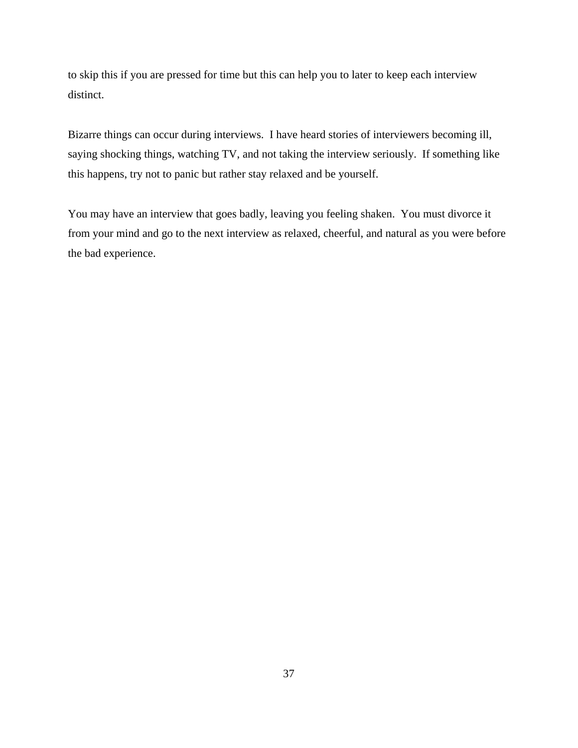to skip this if you are pressed for time but this can help you to later to keep each interview distinct.

Bizarre things can occur during interviews. I have heard stories of interviewers becoming ill, saying shocking things, watching TV, and not taking the interview seriously. If something like this happens, try not to panic but rather stay relaxed and be yourself.

You may have an interview that goes badly, leaving you feeling shaken. You must divorce it from your mind and go to the next interview as relaxed, cheerful, and natural as you were before the bad experience.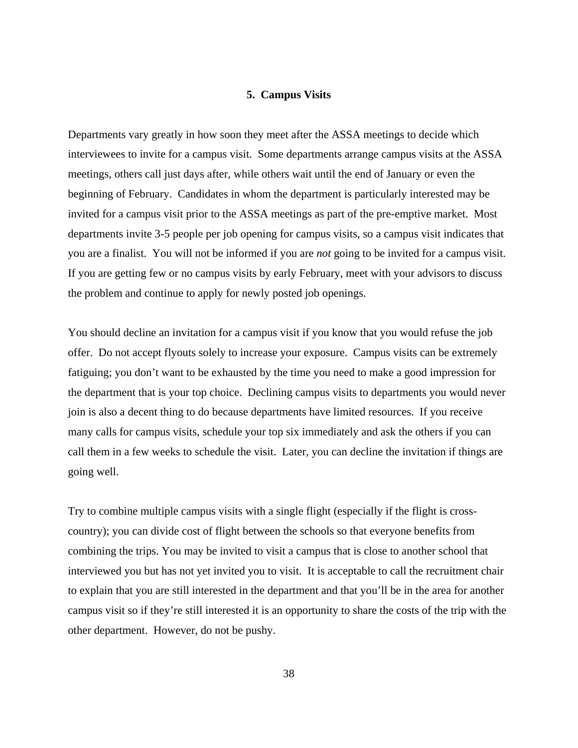### **5. Campus Visits**

Departments vary greatly in how soon they meet after the ASSA meetings to decide which interviewees to invite for a campus visit. Some departments arrange campus visits at the ASSA meetings, others call just days after, while others wait until the end of January or even the beginning of February. Candidates in whom the department is particularly interested may be invited for a campus visit prior to the ASSA meetings as part of the pre-emptive market. Most departments invite 3-5 people per job opening for campus visits, so a campus visit indicates that you are a finalist. You will not be informed if you are *not* going to be invited for a campus visit. If you are getting few or no campus visits by early February, meet with your advisors to discuss the problem and continue to apply for newly posted job openings.

You should decline an invitation for a campus visit if you know that you would refuse the job offer. Do not accept flyouts solely to increase your exposure. Campus visits can be extremely fatiguing; you don't want to be exhausted by the time you need to make a good impression for the department that is your top choice. Declining campus visits to departments you would never join is also a decent thing to do because departments have limited resources. If you receive many calls for campus visits, schedule your top six immediately and ask the others if you can call them in a few weeks to schedule the visit. Later, you can decline the invitation if things are going well.

Try to combine multiple campus visits with a single flight (especially if the flight is crosscountry); you can divide cost of flight between the schools so that everyone benefits from combining the trips. You may be invited to visit a campus that is close to another school that interviewed you but has not yet invited you to visit. It is acceptable to call the recruitment chair to explain that you are still interested in the department and that you'll be in the area for another campus visit so if they're still interested it is an opportunity to share the costs of the trip with the other department. However, do not be pushy.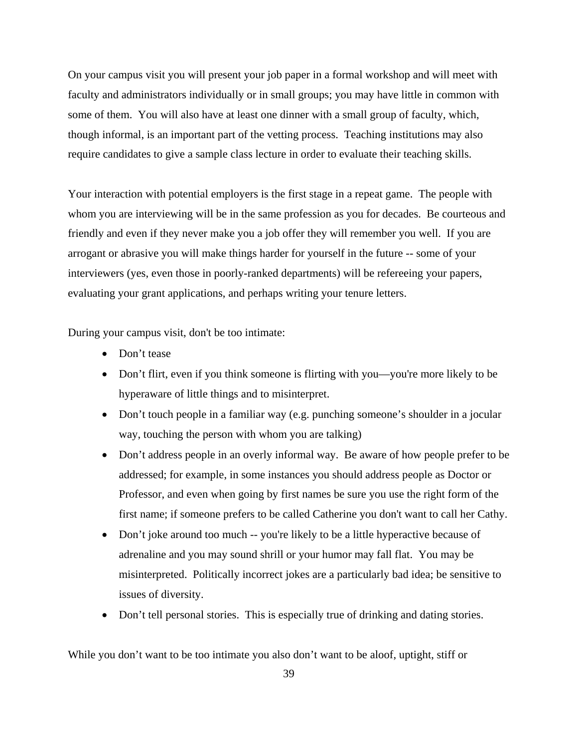On your campus visit you will present your job paper in a formal workshop and will meet with faculty and administrators individually or in small groups; you may have little in common with some of them. You will also have at least one dinner with a small group of faculty, which, though informal, is an important part of the vetting process. Teaching institutions may also require candidates to give a sample class lecture in order to evaluate their teaching skills.

Your interaction with potential employers is the first stage in a repeat game. The people with whom you are interviewing will be in the same profession as you for decades. Be courteous and friendly and even if they never make you a job offer they will remember you well. If you are arrogant or abrasive you will make things harder for yourself in the future -- some of your interviewers (yes, even those in poorly-ranked departments) will be refereeing your papers, evaluating your grant applications, and perhaps writing your tenure letters.

During your campus visit, don't be too intimate:

- Don't tease
- Don't flirt, even if you think someone is flirting with you—you're more likely to be hyperaware of little things and to misinterpret.
- Don't touch people in a familiar way (e.g. punching someone's shoulder in a jocular way, touching the person with whom you are talking)
- Don't address people in an overly informal way. Be aware of how people prefer to be addressed; for example, in some instances you should address people as Doctor or Professor, and even when going by first names be sure you use the right form of the first name; if someone prefers to be called Catherine you don't want to call her Cathy.
- Don't joke around too much -- you're likely to be a little hyperactive because of adrenaline and you may sound shrill or your humor may fall flat. You may be misinterpreted. Politically incorrect jokes are a particularly bad idea; be sensitive to issues of diversity.
- Don't tell personal stories. This is especially true of drinking and dating stories.

While you don't want to be too intimate you also don't want to be aloof, uptight, stiff or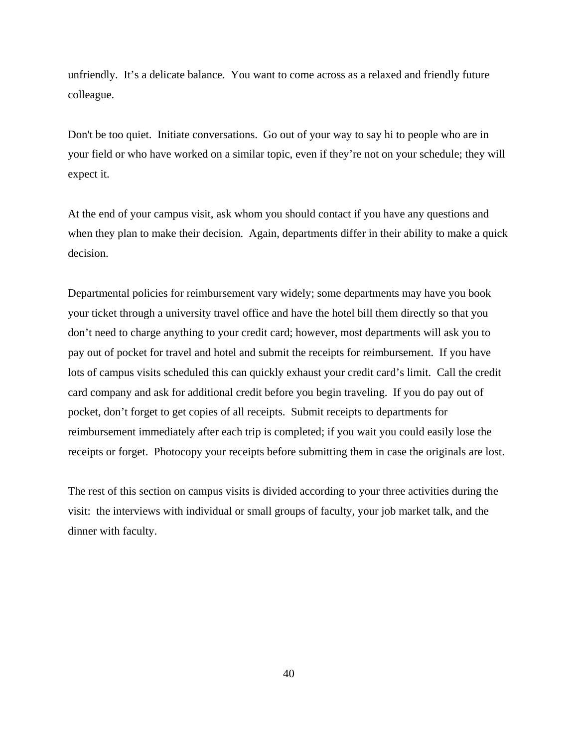unfriendly. It's a delicate balance. You want to come across as a relaxed and friendly future colleague.

Don't be too quiet. Initiate conversations. Go out of your way to say hi to people who are in your field or who have worked on a similar topic, even if they're not on your schedule; they will expect it.

At the end of your campus visit, ask whom you should contact if you have any questions and when they plan to make their decision. Again, departments differ in their ability to make a quick decision.

Departmental policies for reimbursement vary widely; some departments may have you book your ticket through a university travel office and have the hotel bill them directly so that you don't need to charge anything to your credit card; however, most departments will ask you to pay out of pocket for travel and hotel and submit the receipts for reimbursement. If you have lots of campus visits scheduled this can quickly exhaust your credit card's limit. Call the credit card company and ask for additional credit before you begin traveling. If you do pay out of pocket, don't forget to get copies of all receipts. Submit receipts to departments for reimbursement immediately after each trip is completed; if you wait you could easily lose the receipts or forget. Photocopy your receipts before submitting them in case the originals are lost.

The rest of this section on campus visits is divided according to your three activities during the visit: the interviews with individual or small groups of faculty, your job market talk, and the dinner with faculty.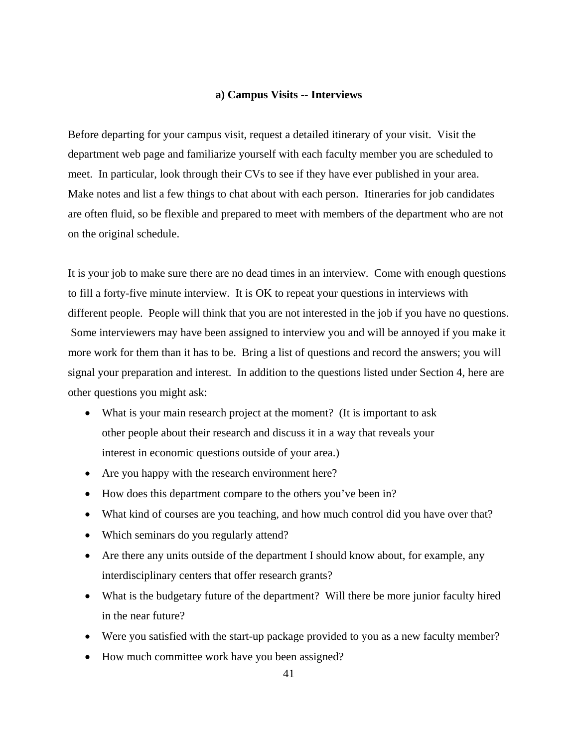### **a) Campus Visits -- Interviews**

Before departing for your campus visit, request a detailed itinerary of your visit. Visit the department web page and familiarize yourself with each faculty member you are scheduled to meet. In particular, look through their CVs to see if they have ever published in your area. Make notes and list a few things to chat about with each person. Itineraries for job candidates are often fluid, so be flexible and prepared to meet with members of the department who are not on the original schedule.

It is your job to make sure there are no dead times in an interview. Come with enough questions to fill a forty-five minute interview. It is OK to repeat your questions in interviews with different people. People will think that you are not interested in the job if you have no questions. Some interviewers may have been assigned to interview you and will be annoyed if you make it more work for them than it has to be. Bring a list of questions and record the answers; you will signal your preparation and interest. In addition to the questions listed under Section 4, here are other questions you might ask:

- What is your main research project at the moment? (It is important to ask other people about their research and discuss it in a way that reveals your interest in economic questions outside of your area.)
- Are you happy with the research environment here?
- How does this department compare to the others you've been in?
- What kind of courses are you teaching, and how much control did you have over that?
- Which seminars do you regularly attend?
- Are there any units outside of the department I should know about, for example, any interdisciplinary centers that offer research grants?
- What is the budgetary future of the department? Will there be more junior faculty hired in the near future?
- Were you satisfied with the start-up package provided to you as a new faculty member?
- How much committee work have you been assigned?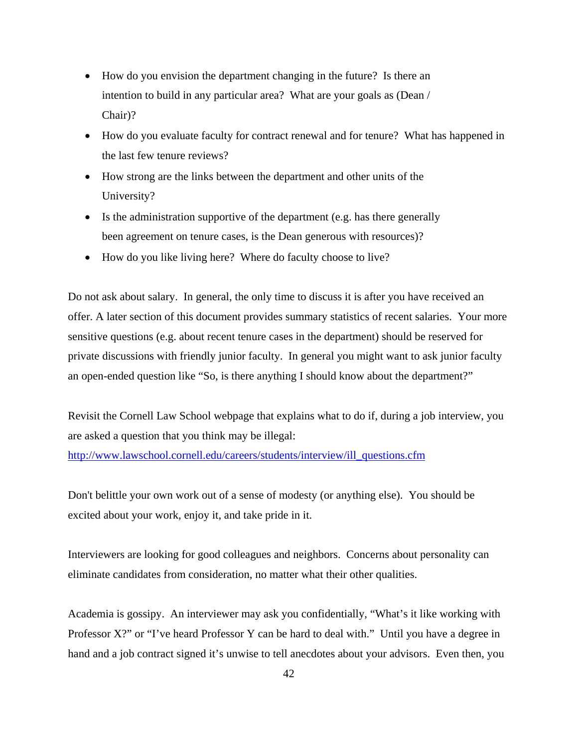- How do you envision the department changing in the future? Is there an intention to build in any particular area? What are your goals as (Dean / Chair)?
- How do you evaluate faculty for contract renewal and for tenure? What has happened in the last few tenure reviews?
- How strong are the links between the department and other units of the University?
- Is the administration supportive of the department (e.g. has there generally been agreement on tenure cases, is the Dean generous with resources)?
- How do you like living here? Where do faculty choose to live?

Do not ask about salary. In general, the only time to discuss it is after you have received an offer. A later section of this document provides summary statistics of recent salaries. Your more sensitive questions (e.g. about recent tenure cases in the department) should be reserved for private discussions with friendly junior faculty. In general you might want to ask junior faculty an open-ended question like "So, is there anything I should know about the department?"

Revisit the Cornell Law School webpage that explains what to do if, during a job interview, you are asked a question that you think may be illegal:

http://www.lawschool.cornell.edu/careers/students/interview/ill\_questions.cfm

Don't belittle your own work out of a sense of modesty (or anything else). You should be excited about your work, enjoy it, and take pride in it.

Interviewers are looking for good colleagues and neighbors. Concerns about personality can eliminate candidates from consideration, no matter what their other qualities.

Academia is gossipy. An interviewer may ask you confidentially, "What's it like working with Professor X?" or "I've heard Professor Y can be hard to deal with." Until you have a degree in hand and a job contract signed it's unwise to tell anecdotes about your advisors. Even then, you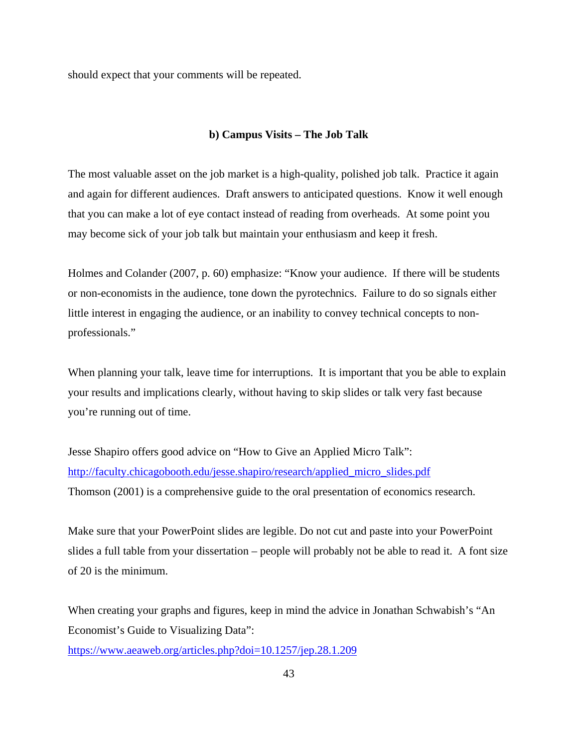should expect that your comments will be repeated.

## **b) Campus Visits – The Job Talk**

The most valuable asset on the job market is a high-quality, polished job talk. Practice it again and again for different audiences. Draft answers to anticipated questions. Know it well enough that you can make a lot of eye contact instead of reading from overheads. At some point you may become sick of your job talk but maintain your enthusiasm and keep it fresh.

Holmes and Colander (2007, p. 60) emphasize: "Know your audience. If there will be students or non-economists in the audience, tone down the pyrotechnics. Failure to do so signals either little interest in engaging the audience, or an inability to convey technical concepts to nonprofessionals."

When planning your talk, leave time for interruptions. It is important that you be able to explain your results and implications clearly, without having to skip slides or talk very fast because you're running out of time.

Jesse Shapiro offers good advice on "How to Give an Applied Micro Talk": http://faculty.chicagobooth.edu/jesse.shapiro/research/applied\_micro\_slides.pdf Thomson (2001) is a comprehensive guide to the oral presentation of economics research.

Make sure that your PowerPoint slides are legible. Do not cut and paste into your PowerPoint slides a full table from your dissertation – people will probably not be able to read it. A font size of 20 is the minimum.

When creating your graphs and figures, keep in mind the advice in Jonathan Schwabish's "An Economist's Guide to Visualizing Data":

https://www.aeaweb.org/articles.php?doi=10.1257/jep.28.1.209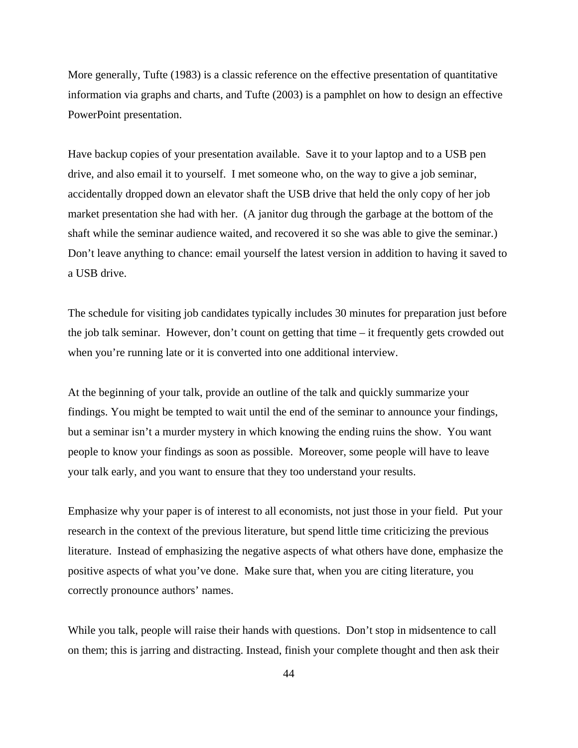More generally, Tufte (1983) is a classic reference on the effective presentation of quantitative information via graphs and charts, and Tufte (2003) is a pamphlet on how to design an effective PowerPoint presentation.

Have backup copies of your presentation available. Save it to your laptop and to a USB pen drive, and also email it to yourself. I met someone who, on the way to give a job seminar, accidentally dropped down an elevator shaft the USB drive that held the only copy of her job market presentation she had with her. (A janitor dug through the garbage at the bottom of the shaft while the seminar audience waited, and recovered it so she was able to give the seminar.) Don't leave anything to chance: email yourself the latest version in addition to having it saved to a USB drive.

The schedule for visiting job candidates typically includes 30 minutes for preparation just before the job talk seminar. However, don't count on getting that time – it frequently gets crowded out when you're running late or it is converted into one additional interview.

At the beginning of your talk, provide an outline of the talk and quickly summarize your findings. You might be tempted to wait until the end of the seminar to announce your findings, but a seminar isn't a murder mystery in which knowing the ending ruins the show. You want people to know your findings as soon as possible. Moreover, some people will have to leave your talk early, and you want to ensure that they too understand your results.

Emphasize why your paper is of interest to all economists, not just those in your field. Put your research in the context of the previous literature, but spend little time criticizing the previous literature. Instead of emphasizing the negative aspects of what others have done, emphasize the positive aspects of what you've done. Make sure that, when you are citing literature, you correctly pronounce authors' names.

While you talk, people will raise their hands with questions. Don't stop in midsentence to call on them; this is jarring and distracting. Instead, finish your complete thought and then ask their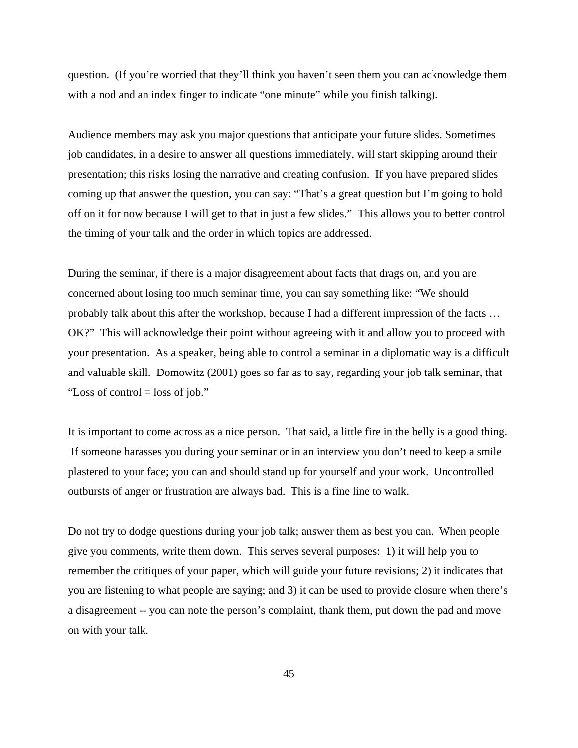question. (If you're worried that they'll think you haven't seen them you can acknowledge them with a nod and an index finger to indicate "one minute" while you finish talking).

Audience members may ask you major questions that anticipate your future slides. Sometimes job candidates, in a desire to answer all questions immediately, will start skipping around their presentation; this risks losing the narrative and creating confusion. If you have prepared slides coming up that answer the question, you can say: "That's a great question but I'm going to hold off on it for now because I will get to that in just a few slides." This allows you to better control the timing of your talk and the order in which topics are addressed.

During the seminar, if there is a major disagreement about facts that drags on, and you are concerned about losing too much seminar time, you can say something like: "We should probably talk about this after the workshop, because I had a different impression of the facts … OK?" This will acknowledge their point without agreeing with it and allow you to proceed with your presentation. As a speaker, being able to control a seminar in a diplomatic way is a difficult and valuable skill. Domowitz (2001) goes so far as to say, regarding your job talk seminar, that "Loss of control = loss of job."

It is important to come across as a nice person. That said, a little fire in the belly is a good thing. If someone harasses you during your seminar or in an interview you don't need to keep a smile plastered to your face; you can and should stand up for yourself and your work. Uncontrolled outbursts of anger or frustration are always bad. This is a fine line to walk.

Do not try to dodge questions during your job talk; answer them as best you can. When people give you comments, write them down. This serves several purposes: 1) it will help you to remember the critiques of your paper, which will guide your future revisions; 2) it indicates that you are listening to what people are saying; and 3) it can be used to provide closure when there's a disagreement -- you can note the person's complaint, thank them, put down the pad and move on with your talk.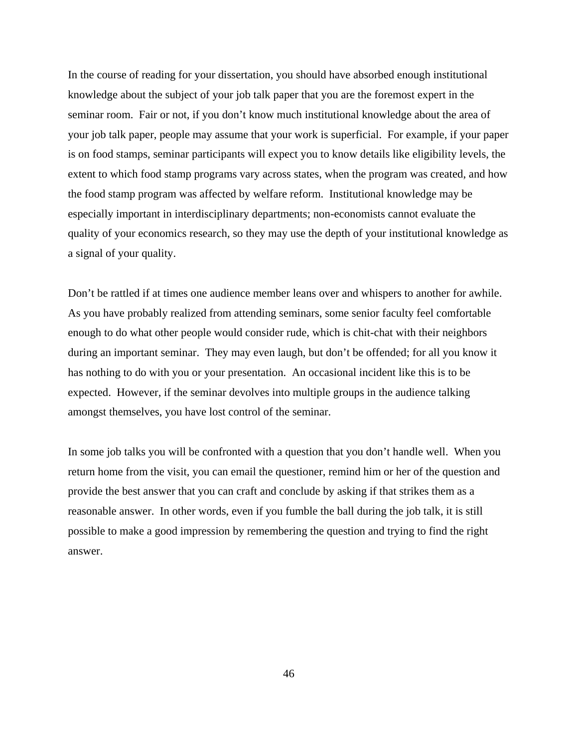In the course of reading for your dissertation, you should have absorbed enough institutional knowledge about the subject of your job talk paper that you are the foremost expert in the seminar room. Fair or not, if you don't know much institutional knowledge about the area of your job talk paper, people may assume that your work is superficial. For example, if your paper is on food stamps, seminar participants will expect you to know details like eligibility levels, the extent to which food stamp programs vary across states, when the program was created, and how the food stamp program was affected by welfare reform. Institutional knowledge may be especially important in interdisciplinary departments; non-economists cannot evaluate the quality of your economics research, so they may use the depth of your institutional knowledge as a signal of your quality.

Don't be rattled if at times one audience member leans over and whispers to another for awhile. As you have probably realized from attending seminars, some senior faculty feel comfortable enough to do what other people would consider rude, which is chit-chat with their neighbors during an important seminar. They may even laugh, but don't be offended; for all you know it has nothing to do with you or your presentation. An occasional incident like this is to be expected. However, if the seminar devolves into multiple groups in the audience talking amongst themselves, you have lost control of the seminar.

In some job talks you will be confronted with a question that you don't handle well. When you return home from the visit, you can email the questioner, remind him or her of the question and provide the best answer that you can craft and conclude by asking if that strikes them as a reasonable answer. In other words, even if you fumble the ball during the job talk, it is still possible to make a good impression by remembering the question and trying to find the right answer.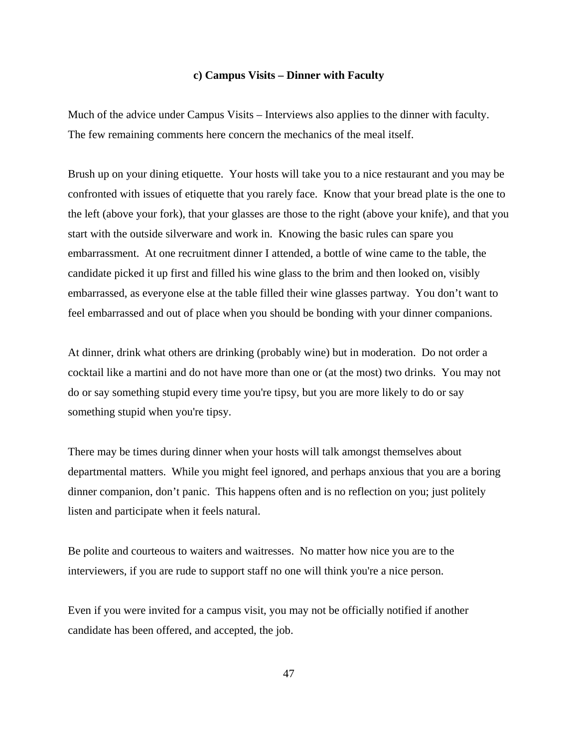#### **c) Campus Visits – Dinner with Faculty**

Much of the advice under Campus Visits – Interviews also applies to the dinner with faculty. The few remaining comments here concern the mechanics of the meal itself.

Brush up on your dining etiquette. Your hosts will take you to a nice restaurant and you may be confronted with issues of etiquette that you rarely face. Know that your bread plate is the one to the left (above your fork), that your glasses are those to the right (above your knife), and that you start with the outside silverware and work in. Knowing the basic rules can spare you embarrassment. At one recruitment dinner I attended, a bottle of wine came to the table, the candidate picked it up first and filled his wine glass to the brim and then looked on, visibly embarrassed, as everyone else at the table filled their wine glasses partway. You don't want to feel embarrassed and out of place when you should be bonding with your dinner companions.

At dinner, drink what others are drinking (probably wine) but in moderation. Do not order a cocktail like a martini and do not have more than one or (at the most) two drinks. You may not do or say something stupid every time you're tipsy, but you are more likely to do or say something stupid when you're tipsy.

There may be times during dinner when your hosts will talk amongst themselves about departmental matters. While you might feel ignored, and perhaps anxious that you are a boring dinner companion, don't panic. This happens often and is no reflection on you; just politely listen and participate when it feels natural.

Be polite and courteous to waiters and waitresses. No matter how nice you are to the interviewers, if you are rude to support staff no one will think you're a nice person.

Even if you were invited for a campus visit, you may not be officially notified if another candidate has been offered, and accepted, the job.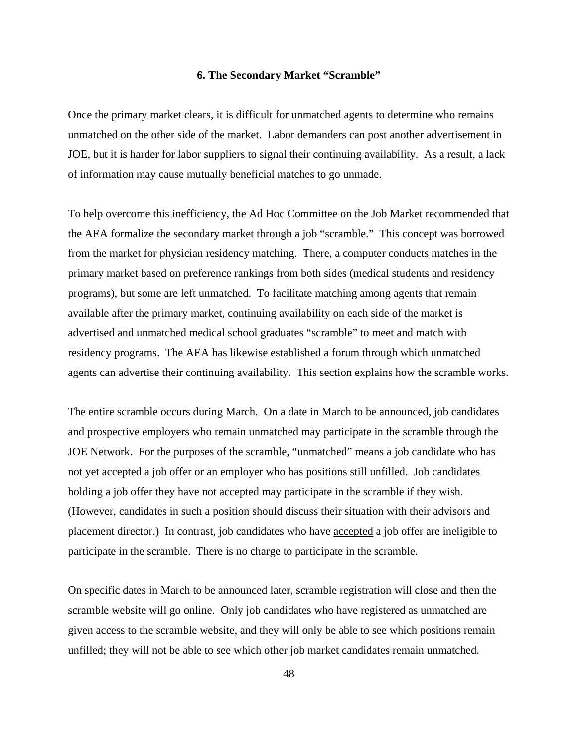### **6. The Secondary Market "Scramble"**

Once the primary market clears, it is difficult for unmatched agents to determine who remains unmatched on the other side of the market. Labor demanders can post another advertisement in JOE, but it is harder for labor suppliers to signal their continuing availability. As a result, a lack of information may cause mutually beneficial matches to go unmade.

To help overcome this inefficiency, the Ad Hoc Committee on the Job Market recommended that the AEA formalize the secondary market through a job "scramble." This concept was borrowed from the market for physician residency matching. There, a computer conducts matches in the primary market based on preference rankings from both sides (medical students and residency programs), but some are left unmatched. To facilitate matching among agents that remain available after the primary market, continuing availability on each side of the market is advertised and unmatched medical school graduates "scramble" to meet and match with residency programs. The AEA has likewise established a forum through which unmatched agents can advertise their continuing availability. This section explains how the scramble works.

The entire scramble occurs during March. On a date in March to be announced, job candidates and prospective employers who remain unmatched may participate in the scramble through the JOE Network. For the purposes of the scramble, "unmatched" means a job candidate who has not yet accepted a job offer or an employer who has positions still unfilled. Job candidates holding a job offer they have not accepted may participate in the scramble if they wish. (However, candidates in such a position should discuss their situation with their advisors and placement director.) In contrast, job candidates who have accepted a job offer are ineligible to participate in the scramble. There is no charge to participate in the scramble.

On specific dates in March to be announced later, scramble registration will close and then the scramble website will go online. Only job candidates who have registered as unmatched are given access to the scramble website, and they will only be able to see which positions remain unfilled; they will not be able to see which other job market candidates remain unmatched.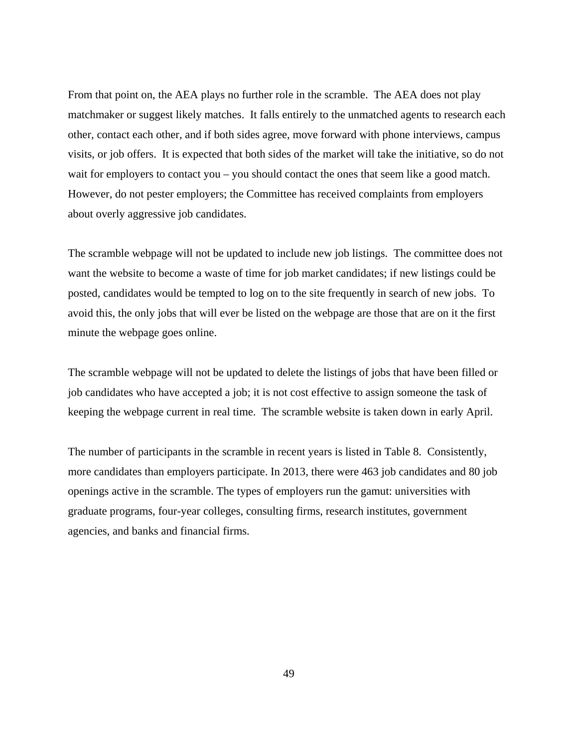From that point on, the AEA plays no further role in the scramble. The AEA does not play matchmaker or suggest likely matches. It falls entirely to the unmatched agents to research each other, contact each other, and if both sides agree, move forward with phone interviews, campus visits, or job offers. It is expected that both sides of the market will take the initiative, so do not wait for employers to contact you – you should contact the ones that seem like a good match. However, do not pester employers; the Committee has received complaints from employers about overly aggressive job candidates.

The scramble webpage will not be updated to include new job listings. The committee does not want the website to become a waste of time for job market candidates; if new listings could be posted, candidates would be tempted to log on to the site frequently in search of new jobs. To avoid this, the only jobs that will ever be listed on the webpage are those that are on it the first minute the webpage goes online.

The scramble webpage will not be updated to delete the listings of jobs that have been filled or job candidates who have accepted a job; it is not cost effective to assign someone the task of keeping the webpage current in real time. The scramble website is taken down in early April.

The number of participants in the scramble in recent years is listed in Table 8. Consistently, more candidates than employers participate. In 2013, there were 463 job candidates and 80 job openings active in the scramble. The types of employers run the gamut: universities with graduate programs, four-year colleges, consulting firms, research institutes, government agencies, and banks and financial firms.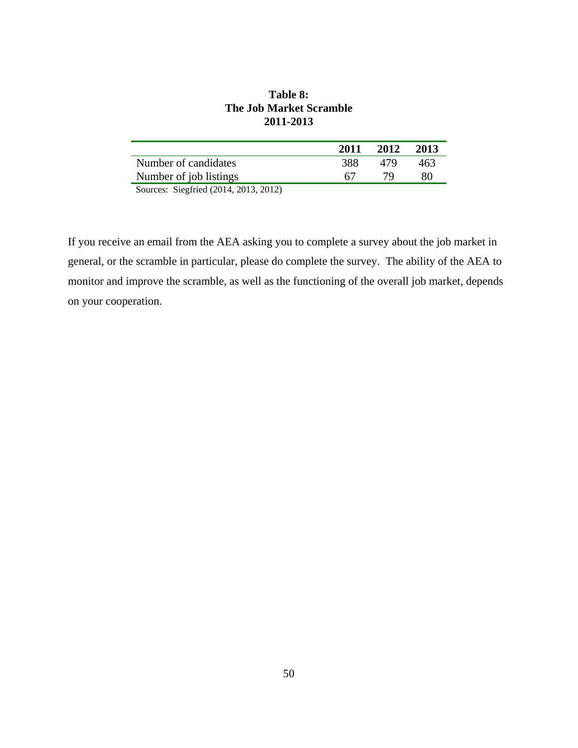| Table 8:                       |
|--------------------------------|
| <b>The Job Market Scramble</b> |
| 2011-2013                      |

|                                      | 2011 | 2012 | 2013 |
|--------------------------------------|------|------|------|
| Number of candidates                 | 388. | 479  | 463  |
| Number of job listings               | 67   | 79.  | 80   |
| $Sources$ Siegfried (2014 2013 2012) |      |      |      |

Sources: Siegfried (2014, 2013, 2012)

If you receive an email from the AEA asking you to complete a survey about the job market in general, or the scramble in particular, please do complete the survey. The ability of the AEA to monitor and improve the scramble, as well as the functioning of the overall job market, depends on your cooperation.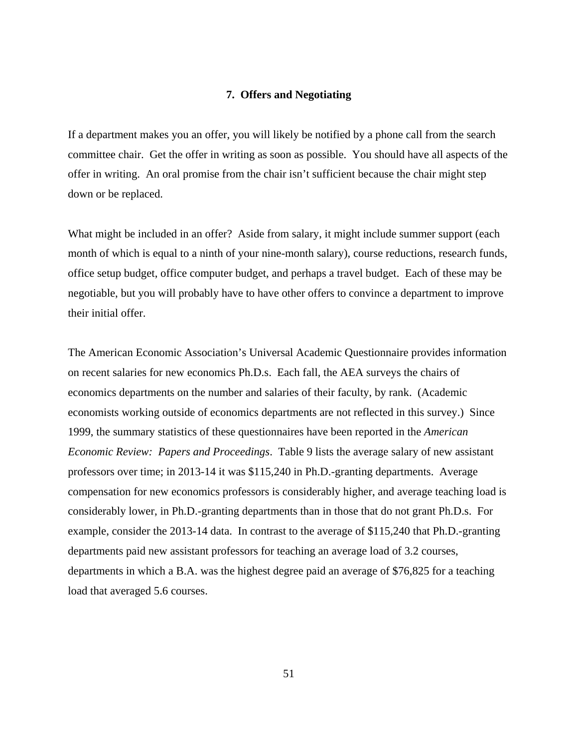### **7. Offers and Negotiating**

If a department makes you an offer, you will likely be notified by a phone call from the search committee chair. Get the offer in writing as soon as possible. You should have all aspects of the offer in writing. An oral promise from the chair isn't sufficient because the chair might step down or be replaced.

What might be included in an offer? Aside from salary, it might include summer support (each month of which is equal to a ninth of your nine-month salary), course reductions, research funds, office setup budget, office computer budget, and perhaps a travel budget. Each of these may be negotiable, but you will probably have to have other offers to convince a department to improve their initial offer.

The American Economic Association's Universal Academic Questionnaire provides information on recent salaries for new economics Ph.D.s. Each fall, the AEA surveys the chairs of economics departments on the number and salaries of their faculty, by rank. (Academic economists working outside of economics departments are not reflected in this survey.) Since 1999, the summary statistics of these questionnaires have been reported in the *American Economic Review: Papers and Proceedings*. Table 9 lists the average salary of new assistant professors over time; in 2013-14 it was \$115,240 in Ph.D.-granting departments. Average compensation for new economics professors is considerably higher, and average teaching load is considerably lower, in Ph.D.-granting departments than in those that do not grant Ph.D.s. For example, consider the 2013-14 data. In contrast to the average of \$115,240 that Ph.D.-granting departments paid new assistant professors for teaching an average load of 3.2 courses, departments in which a B.A. was the highest degree paid an average of \$76,825 for a teaching load that averaged 5.6 courses.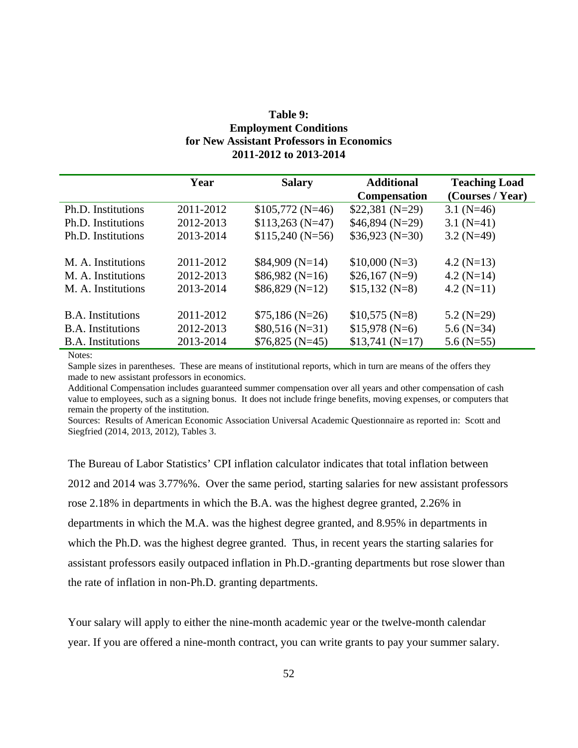# **Table 9: Employment Conditions for New Assistant Professors in Economics 2011-2012 to 2013-2014**

|                          | Year      | <b>Salary</b>    | <b>Additional</b>   | <b>Teaching Load</b> |
|--------------------------|-----------|------------------|---------------------|----------------------|
|                          |           |                  | <b>Compensation</b> | (Courses / Year)     |
| Ph.D. Institutions       | 2011-2012 | $$105,772(N=46)$ | $$22,381(N=29)$     | 3.1 $(N=46)$         |
| Ph.D. Institutions       | 2012-2013 | $$113,263(N=47)$ | $$46,894(N=29)$     | 3.1 $(N=41)$         |
| Ph.D. Institutions       | 2013-2014 | $$115,240(N=56)$ | $$36,923(N=30)$     | $3.2$ (N=49)         |
| M. A. Institutions       | 2011-2012 | $$84,909(N=14)$  | $$10,000(N=3)$      | 4.2 $(N=13)$         |
| M. A. Institutions       | 2012-2013 | $$86,982(N=16)$  | $$26,167(N=9)$      | 4.2 $(N=14)$         |
| M. A. Institutions       | 2013-2014 | $$86,829(N=12)$  | $$15,132(N=8)$      | $4.2(N=11)$          |
| <b>B.A.</b> Institutions | 2011-2012 | $$75,186(N=26)$  | $$10,575(N=8)$      | $5.2(N=29)$          |
| <b>B.A.</b> Institutions | 2012-2013 | $$80,516(N=31)$  | $$15,978(N=6)$      | $5.6$ (N=34)         |
| <b>B.A.</b> Institutions | 2013-2014 | $$76,825(N=45)$  | $$13,741(N=17)$     | 5.6 $(N=55)$         |
|                          |           |                  |                     |                      |

Notes:

Sample sizes in parentheses. These are means of institutional reports, which in turn are means of the offers they made to new assistant professors in economics.

Additional Compensation includes guaranteed summer compensation over all years and other compensation of cash value to employees, such as a signing bonus. It does not include fringe benefits, moving expenses, or computers that remain the property of the institution.

Sources: Results of American Economic Association Universal Academic Questionnaire as reported in: Scott and Siegfried (2014, 2013, 2012), Tables 3.

The Bureau of Labor Statistics' CPI inflation calculator indicates that total inflation between 2012 and 2014 was 3.77%%. Over the same period, starting salaries for new assistant professors rose 2.18% in departments in which the B.A. was the highest degree granted, 2.26% in departments in which the M.A. was the highest degree granted, and 8.95% in departments in which the Ph.D. was the highest degree granted. Thus, in recent years the starting salaries for assistant professors easily outpaced inflation in Ph.D.-granting departments but rose slower than the rate of inflation in non-Ph.D. granting departments.

Your salary will apply to either the nine-month academic year or the twelve-month calendar year. If you are offered a nine-month contract, you can write grants to pay your summer salary.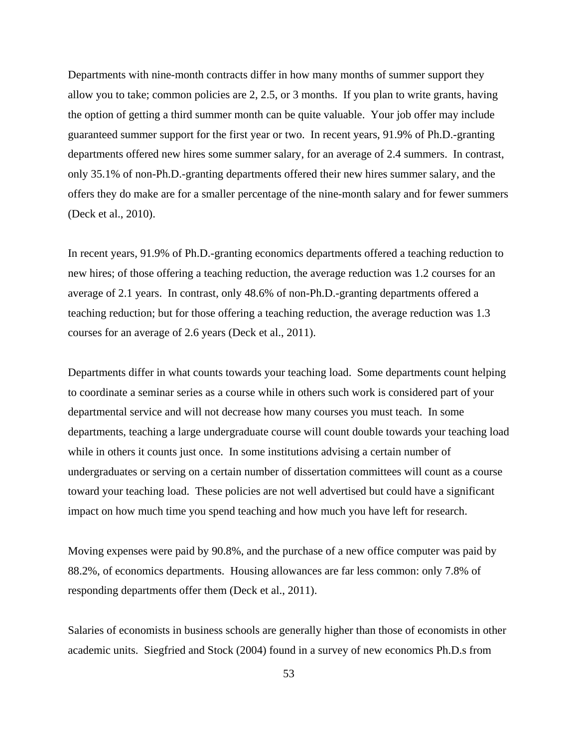Departments with nine-month contracts differ in how many months of summer support they allow you to take; common policies are 2, 2.5, or 3 months. If you plan to write grants, having the option of getting a third summer month can be quite valuable. Your job offer may include guaranteed summer support for the first year or two. In recent years, 91.9% of Ph.D.-granting departments offered new hires some summer salary, for an average of 2.4 summers. In contrast, only 35.1% of non-Ph.D.-granting departments offered their new hires summer salary, and the offers they do make are for a smaller percentage of the nine-month salary and for fewer summers (Deck et al., 2010).

In recent years, 91.9% of Ph.D.-granting economics departments offered a teaching reduction to new hires; of those offering a teaching reduction, the average reduction was 1.2 courses for an average of 2.1 years. In contrast, only 48.6% of non-Ph.D.-granting departments offered a teaching reduction; but for those offering a teaching reduction, the average reduction was 1.3 courses for an average of 2.6 years (Deck et al., 2011).

Departments differ in what counts towards your teaching load. Some departments count helping to coordinate a seminar series as a course while in others such work is considered part of your departmental service and will not decrease how many courses you must teach. In some departments, teaching a large undergraduate course will count double towards your teaching load while in others it counts just once. In some institutions advising a certain number of undergraduates or serving on a certain number of dissertation committees will count as a course toward your teaching load. These policies are not well advertised but could have a significant impact on how much time you spend teaching and how much you have left for research.

Moving expenses were paid by 90.8%, and the purchase of a new office computer was paid by 88.2%, of economics departments. Housing allowances are far less common: only 7.8% of responding departments offer them (Deck et al., 2011).

Salaries of economists in business schools are generally higher than those of economists in other academic units. Siegfried and Stock (2004) found in a survey of new economics Ph.D.s from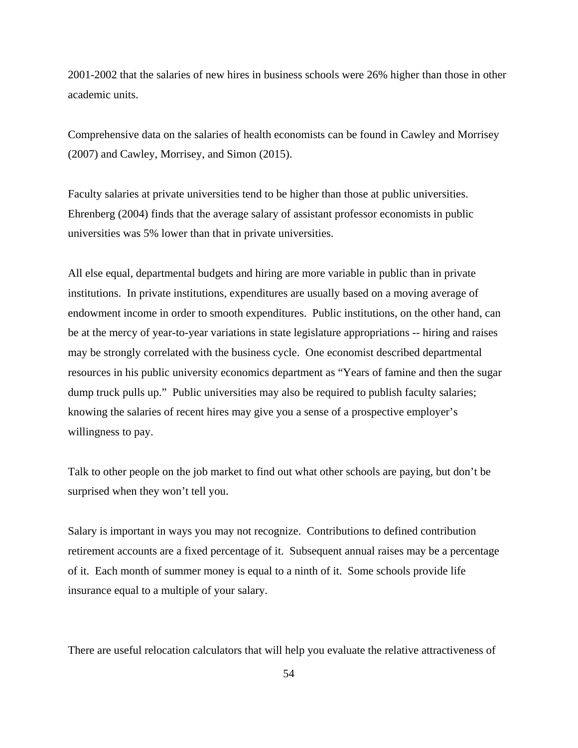2001-2002 that the salaries of new hires in business schools were 26% higher than those in other academic units.

Comprehensive data on the salaries of health economists can be found in Cawley and Morrisey (2007) and Cawley, Morrisey, and Simon (2015).

Faculty salaries at private universities tend to be higher than those at public universities. Ehrenberg (2004) finds that the average salary of assistant professor economists in public universities was 5% lower than that in private universities.

All else equal, departmental budgets and hiring are more variable in public than in private institutions. In private institutions, expenditures are usually based on a moving average of endowment income in order to smooth expenditures. Public institutions, on the other hand, can be at the mercy of year-to-year variations in state legislature appropriations -- hiring and raises may be strongly correlated with the business cycle. One economist described departmental resources in his public university economics department as "Years of famine and then the sugar dump truck pulls up." Public universities may also be required to publish faculty salaries; knowing the salaries of recent hires may give you a sense of a prospective employer's willingness to pay.

Talk to other people on the job market to find out what other schools are paying, but don't be surprised when they won't tell you.

Salary is important in ways you may not recognize. Contributions to defined contribution retirement accounts are a fixed percentage of it. Subsequent annual raises may be a percentage of it. Each month of summer money is equal to a ninth of it. Some schools provide life insurance equal to a multiple of your salary.

There are useful relocation calculators that will help you evaluate the relative attractiveness of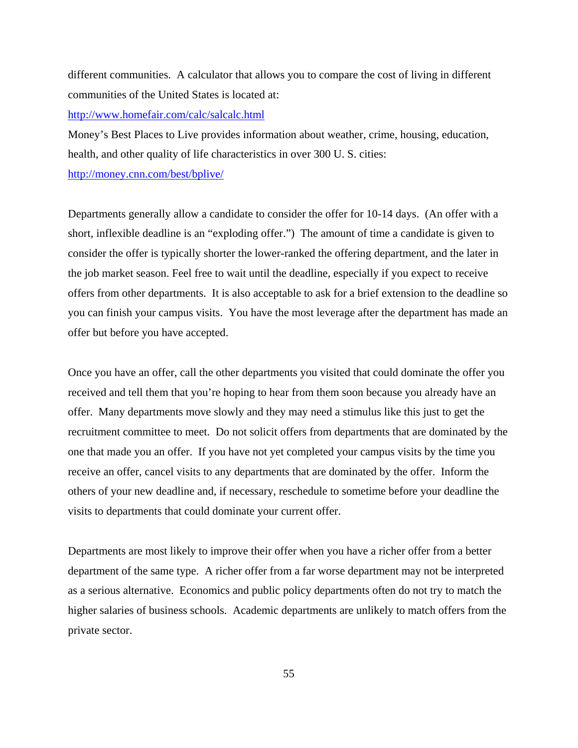different communities. A calculator that allows you to compare the cost of living in different communities of the United States is located at:

http://www.homefair.com/calc/salcalc.html

Money's Best Places to Live provides information about weather, crime, housing, education, health, and other quality of life characteristics in over 300 U. S. cities:

http://money.cnn.com/best/bplive/

Departments generally allow a candidate to consider the offer for 10-14 days. (An offer with a short, inflexible deadline is an "exploding offer.") The amount of time a candidate is given to consider the offer is typically shorter the lower-ranked the offering department, and the later in the job market season. Feel free to wait until the deadline, especially if you expect to receive offers from other departments. It is also acceptable to ask for a brief extension to the deadline so you can finish your campus visits. You have the most leverage after the department has made an offer but before you have accepted.

Once you have an offer, call the other departments you visited that could dominate the offer you received and tell them that you're hoping to hear from them soon because you already have an offer. Many departments move slowly and they may need a stimulus like this just to get the recruitment committee to meet. Do not solicit offers from departments that are dominated by the one that made you an offer. If you have not yet completed your campus visits by the time you receive an offer, cancel visits to any departments that are dominated by the offer. Inform the others of your new deadline and, if necessary, reschedule to sometime before your deadline the visits to departments that could dominate your current offer.

Departments are most likely to improve their offer when you have a richer offer from a better department of the same type. A richer offer from a far worse department may not be interpreted as a serious alternative. Economics and public policy departments often do not try to match the higher salaries of business schools. Academic departments are unlikely to match offers from the private sector.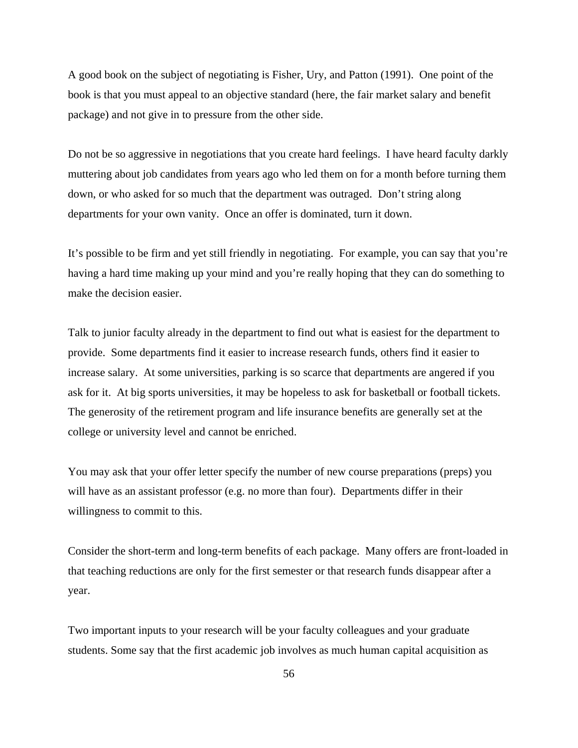A good book on the subject of negotiating is Fisher, Ury, and Patton (1991). One point of the book is that you must appeal to an objective standard (here, the fair market salary and benefit package) and not give in to pressure from the other side.

Do not be so aggressive in negotiations that you create hard feelings. I have heard faculty darkly muttering about job candidates from years ago who led them on for a month before turning them down, or who asked for so much that the department was outraged. Don't string along departments for your own vanity. Once an offer is dominated, turn it down.

It's possible to be firm and yet still friendly in negotiating. For example, you can say that you're having a hard time making up your mind and you're really hoping that they can do something to make the decision easier.

Talk to junior faculty already in the department to find out what is easiest for the department to provide. Some departments find it easier to increase research funds, others find it easier to increase salary. At some universities, parking is so scarce that departments are angered if you ask for it. At big sports universities, it may be hopeless to ask for basketball or football tickets. The generosity of the retirement program and life insurance benefits are generally set at the college or university level and cannot be enriched.

You may ask that your offer letter specify the number of new course preparations (preps) you will have as an assistant professor (e.g. no more than four). Departments differ in their willingness to commit to this.

Consider the short-term and long-term benefits of each package. Many offers are front-loaded in that teaching reductions are only for the first semester or that research funds disappear after a year.

Two important inputs to your research will be your faculty colleagues and your graduate students. Some say that the first academic job involves as much human capital acquisition as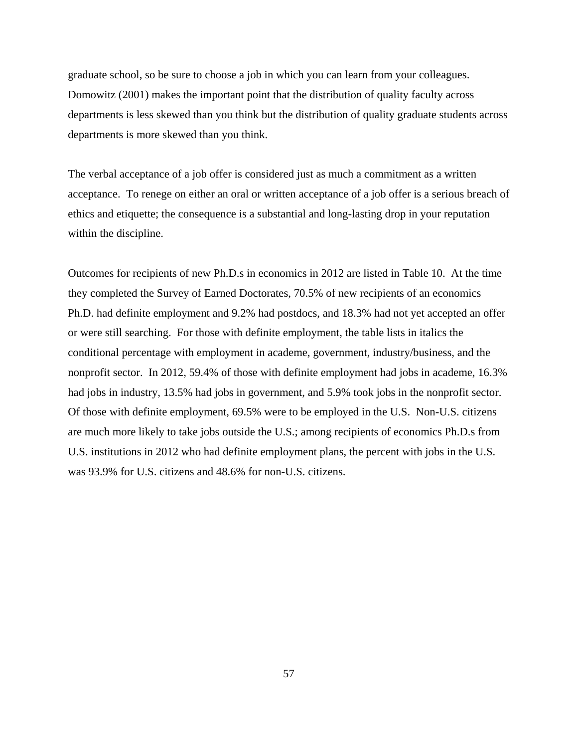graduate school, so be sure to choose a job in which you can learn from your colleagues. Domowitz (2001) makes the important point that the distribution of quality faculty across departments is less skewed than you think but the distribution of quality graduate students across departments is more skewed than you think.

The verbal acceptance of a job offer is considered just as much a commitment as a written acceptance. To renege on either an oral or written acceptance of a job offer is a serious breach of ethics and etiquette; the consequence is a substantial and long-lasting drop in your reputation within the discipline.

Outcomes for recipients of new Ph.D.s in economics in 2012 are listed in Table 10. At the time they completed the Survey of Earned Doctorates, 70.5% of new recipients of an economics Ph.D. had definite employment and 9.2% had postdocs, and 18.3% had not yet accepted an offer or were still searching. For those with definite employment, the table lists in italics the conditional percentage with employment in academe, government, industry/business, and the nonprofit sector. In 2012, 59.4% of those with definite employment had jobs in academe, 16.3% had jobs in industry, 13.5% had jobs in government, and 5.9% took jobs in the nonprofit sector. Of those with definite employment, 69.5% were to be employed in the U.S. Non-U.S. citizens are much more likely to take jobs outside the U.S.; among recipients of economics Ph.D.s from U.S. institutions in 2012 who had definite employment plans, the percent with jobs in the U.S. was 93.9% for U.S. citizens and 48.6% for non-U.S. citizens.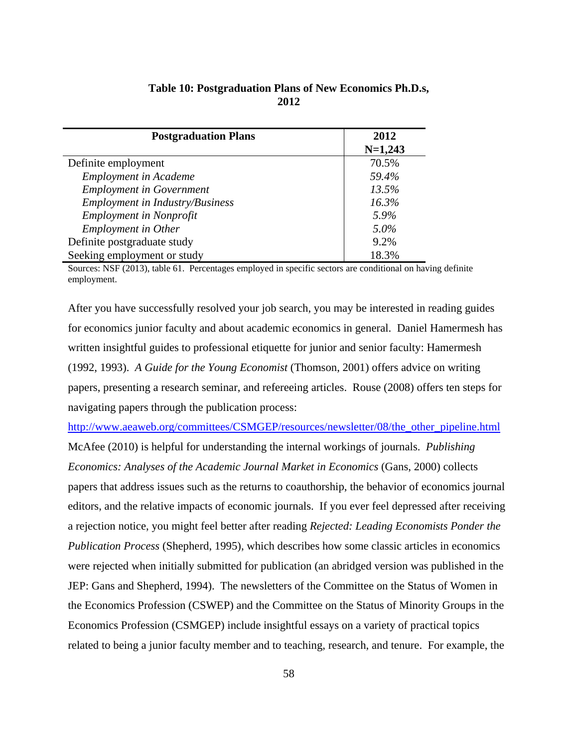| <b>Postgraduation Plans</b>            | 2012      |
|----------------------------------------|-----------|
|                                        | $N=1,243$ |
| Definite employment                    | 70.5%     |
| <b>Employment in Academe</b>           | 59.4%     |
| <b>Employment in Government</b>        | 13.5%     |
| <b>Employment in Industry/Business</b> | 16.3%     |
| <b>Employment in Nonprofit</b>         | 5.9%      |
| <b>Employment</b> in Other             | $5.0\%$   |
| Definite postgraduate study            | 9.2%      |
| Seeking employment or study            | 18.3%     |

## **Table 10: Postgraduation Plans of New Economics Ph.D.s, 2012**

Sources: NSF (2013), table 61. Percentages employed in specific sectors are conditional on having definite employment.

After you have successfully resolved your job search, you may be interested in reading guides for economics junior faculty and about academic economics in general. Daniel Hamermesh has written insightful guides to professional etiquette for junior and senior faculty: Hamermesh (1992, 1993). *A Guide for the Young Economist* (Thomson, 2001) offers advice on writing papers, presenting a research seminar, and refereeing articles. Rouse (2008) offers ten steps for navigating papers through the publication process:

http://www.aeaweb.org/committees/CSMGEP/resources/newsletter/08/the\_other\_pipeline.html McAfee (2010) is helpful for understanding the internal workings of journals. *Publishing Economics: Analyses of the Academic Journal Market in Economics* (Gans, 2000) collects papers that address issues such as the returns to coauthorship, the behavior of economics journal editors, and the relative impacts of economic journals. If you ever feel depressed after receiving a rejection notice, you might feel better after reading *Rejected: Leading Economists Ponder the Publication Process* (Shepherd, 1995), which describes how some classic articles in economics were rejected when initially submitted for publication (an abridged version was published in the JEP: Gans and Shepherd, 1994). The newsletters of the Committee on the Status of Women in the Economics Profession (CSWEP) and the Committee on the Status of Minority Groups in the Economics Profession (CSMGEP) include insightful essays on a variety of practical topics related to being a junior faculty member and to teaching, research, and tenure. For example, the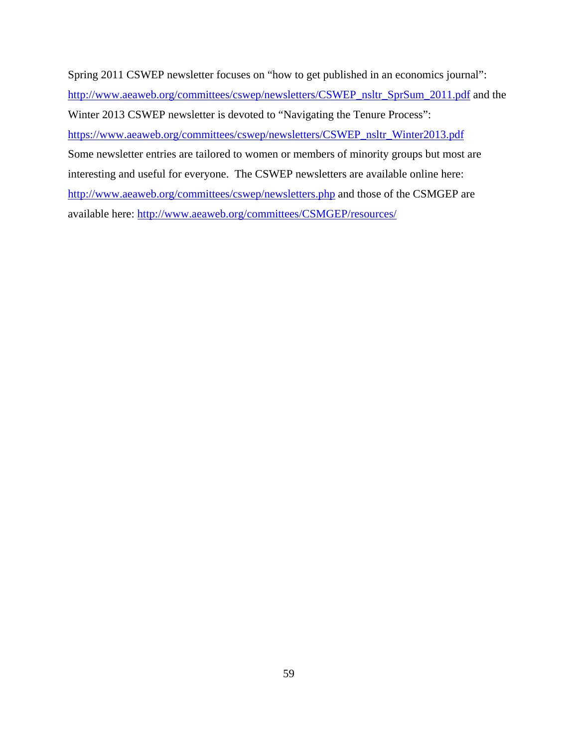Spring 2011 CSWEP newsletter focuses on "how to get published in an economics journal": http://www.aeaweb.org/committees/cswep/newsletters/CSWEP\_nsltr\_SprSum\_2011.pdf and the Winter 2013 CSWEP newsletter is devoted to "Navigating the Tenure Process": https://www.aeaweb.org/committees/cswep/newsletters/CSWEP\_nsltr\_Winter2013.pdf Some newsletter entries are tailored to women or members of minority groups but most are interesting and useful for everyone. The CSWEP newsletters are available online here: http://www.aeaweb.org/committees/cswep/newsletters.php and those of the CSMGEP are available here: http://www.aeaweb.org/committees/CSMGEP/resources/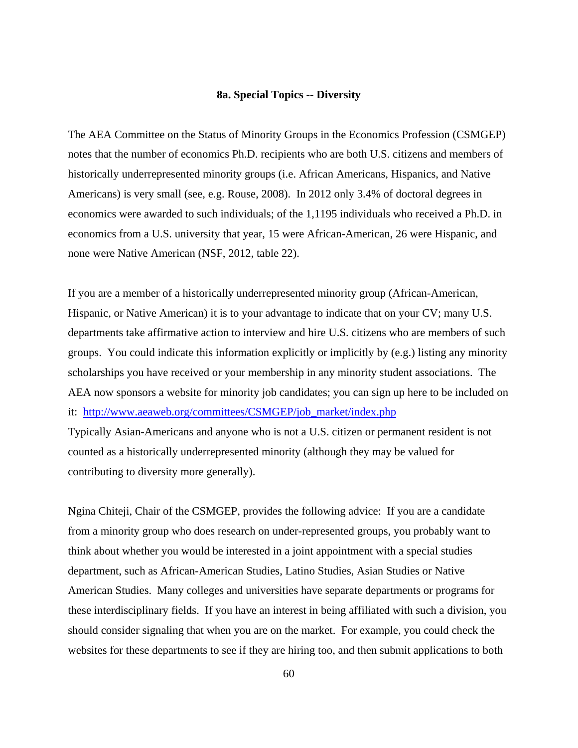### **8a. Special Topics -- Diversity**

The AEA Committee on the Status of Minority Groups in the Economics Profession (CSMGEP) notes that the number of economics Ph.D. recipients who are both U.S. citizens and members of historically underrepresented minority groups (i.e. African Americans, Hispanics, and Native Americans) is very small (see, e.g. Rouse, 2008). In 2012 only 3.4% of doctoral degrees in economics were awarded to such individuals; of the 1,1195 individuals who received a Ph.D. in economics from a U.S. university that year, 15 were African-American, 26 were Hispanic, and none were Native American (NSF, 2012, table 22).

If you are a member of a historically underrepresented minority group (African-American, Hispanic, or Native American) it is to your advantage to indicate that on your CV; many U.S. departments take affirmative action to interview and hire U.S. citizens who are members of such groups. You could indicate this information explicitly or implicitly by (e.g.) listing any minority scholarships you have received or your membership in any minority student associations. The AEA now sponsors a website for minority job candidates; you can sign up here to be included on it: http://www.aeaweb.org/committees/CSMGEP/job\_market/index.php

Typically Asian-Americans and anyone who is not a U.S. citizen or permanent resident is not counted as a historically underrepresented minority (although they may be valued for contributing to diversity more generally).

Ngina Chiteji, Chair of the CSMGEP, provides the following advice: If you are a candidate from a minority group who does research on under-represented groups, you probably want to think about whether you would be interested in a joint appointment with a special studies department, such as African-American Studies, Latino Studies, Asian Studies or Native American Studies. Many colleges and universities have separate departments or programs for these interdisciplinary fields. If you have an interest in being affiliated with such a division, you should consider signaling that when you are on the market. For example, you could check the websites for these departments to see if they are hiring too, and then submit applications to both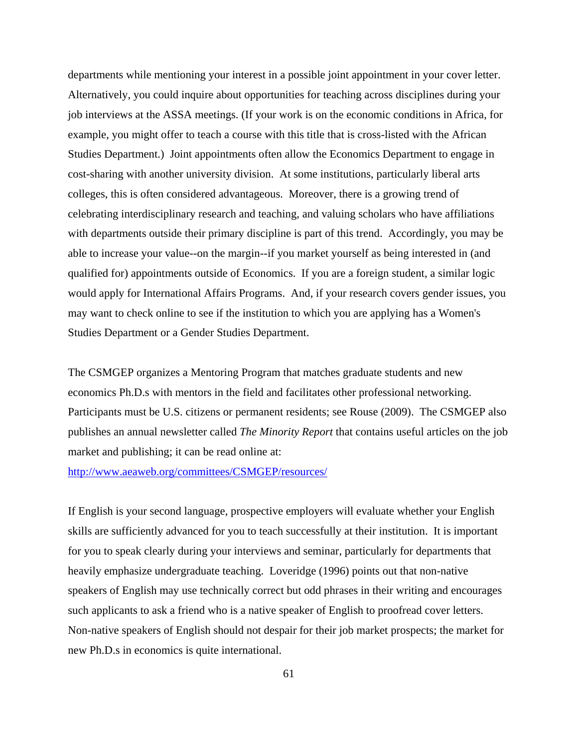departments while mentioning your interest in a possible joint appointment in your cover letter. Alternatively, you could inquire about opportunities for teaching across disciplines during your job interviews at the ASSA meetings. (If your work is on the economic conditions in Africa, for example, you might offer to teach a course with this title that is cross-listed with the African Studies Department.) Joint appointments often allow the Economics Department to engage in cost-sharing with another university division. At some institutions, particularly liberal arts colleges, this is often considered advantageous. Moreover, there is a growing trend of celebrating interdisciplinary research and teaching, and valuing scholars who have affiliations with departments outside their primary discipline is part of this trend. Accordingly, you may be able to increase your value--on the margin--if you market yourself as being interested in (and qualified for) appointments outside of Economics. If you are a foreign student, a similar logic would apply for International Affairs Programs. And, if your research covers gender issues, you may want to check online to see if the institution to which you are applying has a Women's Studies Department or a Gender Studies Department.

The CSMGEP organizes a Mentoring Program that matches graduate students and new economics Ph.D.s with mentors in the field and facilitates other professional networking. Participants must be U.S. citizens or permanent residents; see Rouse (2009). The CSMGEP also publishes an annual newsletter called *The Minority Report* that contains useful articles on the job market and publishing; it can be read online at:

http://www.aeaweb.org/committees/CSMGEP/resources/

If English is your second language, prospective employers will evaluate whether your English skills are sufficiently advanced for you to teach successfully at their institution. It is important for you to speak clearly during your interviews and seminar, particularly for departments that heavily emphasize undergraduate teaching. Loveridge (1996) points out that non-native speakers of English may use technically correct but odd phrases in their writing and encourages such applicants to ask a friend who is a native speaker of English to proofread cover letters. Non-native speakers of English should not despair for their job market prospects; the market for new Ph.D.s in economics is quite international.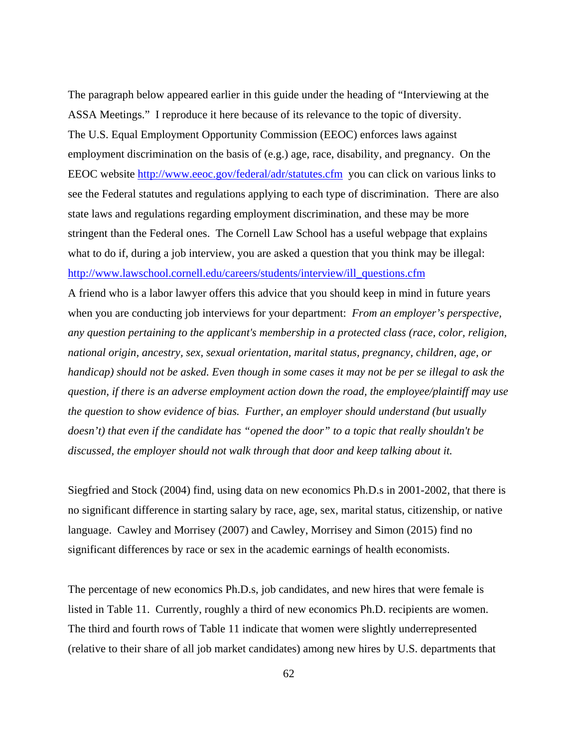The paragraph below appeared earlier in this guide under the heading of "Interviewing at the ASSA Meetings." I reproduce it here because of its relevance to the topic of diversity. The U.S. Equal Employment Opportunity Commission (EEOC) enforces laws against employment discrimination on the basis of (e.g.) age, race, disability, and pregnancy. On the EEOC website http://www.eeoc.gov/federal/adr/statutes.cfm you can click on various links to see the Federal statutes and regulations applying to each type of discrimination. There are also state laws and regulations regarding employment discrimination, and these may be more stringent than the Federal ones. The Cornell Law School has a useful webpage that explains what to do if, during a job interview, you are asked a question that you think may be illegal: http://www.lawschool.cornell.edu/careers/students/interview/ill\_questions.cfm

A friend who is a labor lawyer offers this advice that you should keep in mind in future years when you are conducting job interviews for your department: *From an employer's perspective, any question pertaining to the applicant's membership in a protected class (race, color, religion, national origin, ancestry, sex, sexual orientation, marital status, pregnancy, children, age, or handicap) should not be asked. Even though in some cases it may not be per se illegal to ask the question, if there is an adverse employment action down the road, the employee/plaintiff may use the question to show evidence of bias. Further, an employer should understand (but usually doesn't) that even if the candidate has "opened the door" to a topic that really shouldn't be discussed, the employer should not walk through that door and keep talking about it.*

Siegfried and Stock (2004) find, using data on new economics Ph.D.s in 2001-2002, that there is no significant difference in starting salary by race, age, sex, marital status, citizenship, or native language. Cawley and Morrisey (2007) and Cawley, Morrisey and Simon (2015) find no significant differences by race or sex in the academic earnings of health economists.

The percentage of new economics Ph.D.s, job candidates, and new hires that were female is listed in Table 11. Currently, roughly a third of new economics Ph.D. recipients are women. The third and fourth rows of Table 11 indicate that women were slightly underrepresented (relative to their share of all job market candidates) among new hires by U.S. departments that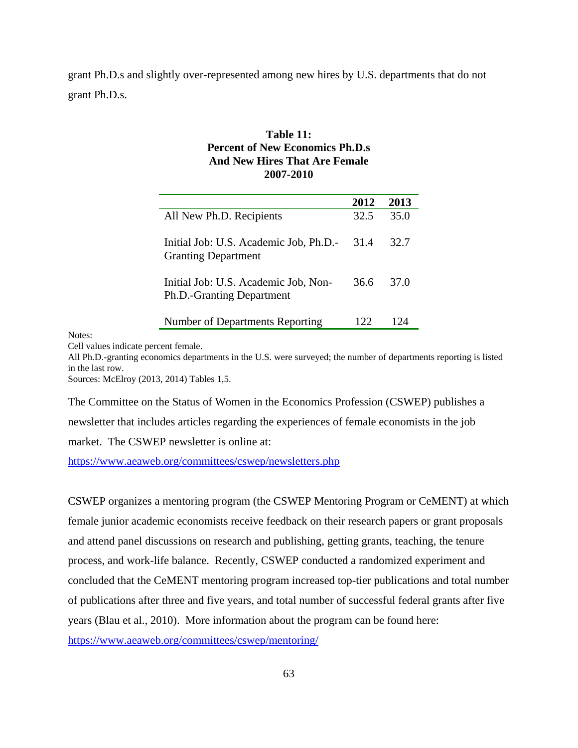grant Ph.D.s and slightly over-represented among new hires by U.S. departments that do not grant Ph.D.s.

## **Table 11: Percent of New Economics Ph.D.s And New Hires That Are Female 2007-2010**

|                                                                      | 2012 | 2013 |
|----------------------------------------------------------------------|------|------|
| All New Ph.D. Recipients                                             | 32.5 | 35.0 |
| Initial Job: U.S. Academic Job, Ph.D.-<br><b>Granting Department</b> | 31.4 | 32.7 |
| Initial Job: U.S. Academic Job, Non-<br>Ph.D.-Granting Department    | 36.6 | 37.O |
| Number of Departments Reporting                                      | 122  | 174  |

Notes:

Cell values indicate percent female.

All Ph.D.-granting economics departments in the U.S. were surveyed; the number of departments reporting is listed in the last row.

Sources: McElroy (2013, 2014) Tables 1,5.

The Committee on the Status of Women in the Economics Profession (CSWEP) publishes a newsletter that includes articles regarding the experiences of female economists in the job market. The CSWEP newsletter is online at:

https://www.aeaweb.org/committees/cswep/newsletters.php

CSWEP organizes a mentoring program (the CSWEP Mentoring Program or CeMENT) at which female junior academic economists receive feedback on their research papers or grant proposals and attend panel discussions on research and publishing, getting grants, teaching, the tenure process, and work-life balance. Recently, CSWEP conducted a randomized experiment and concluded that the CeMENT mentoring program increased top-tier publications and total number of publications after three and five years, and total number of successful federal grants after five years (Blau et al., 2010). More information about the program can be found here: https://www.aeaweb.org/committees/cswep/mentoring/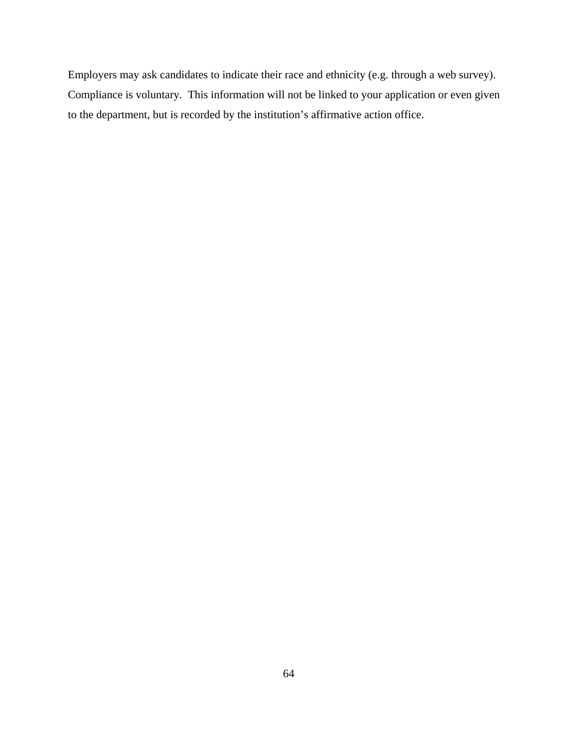Employers may ask candidates to indicate their race and ethnicity (e.g. through a web survey). Compliance is voluntary. This information will not be linked to your application or even given to the department, but is recorded by the institution's affirmative action office.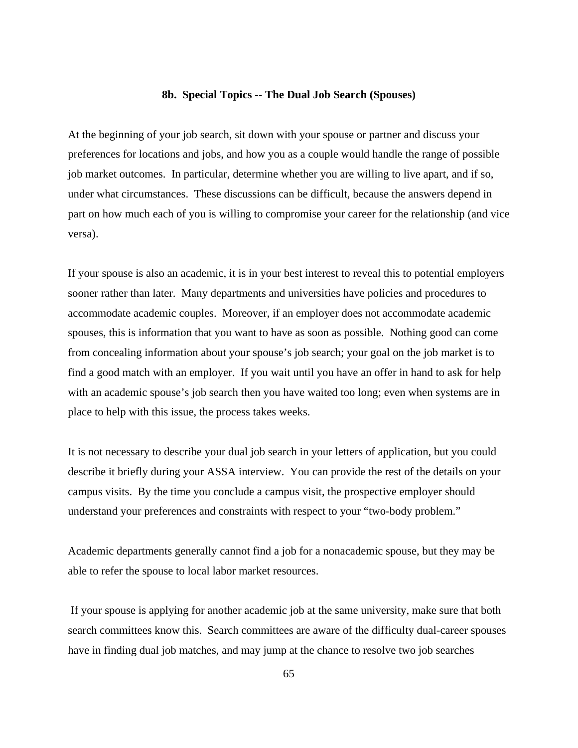#### **8b. Special Topics -- The Dual Job Search (Spouses)**

At the beginning of your job search, sit down with your spouse or partner and discuss your preferences for locations and jobs, and how you as a couple would handle the range of possible job market outcomes. In particular, determine whether you are willing to live apart, and if so, under what circumstances. These discussions can be difficult, because the answers depend in part on how much each of you is willing to compromise your career for the relationship (and vice versa).

If your spouse is also an academic, it is in your best interest to reveal this to potential employers sooner rather than later. Many departments and universities have policies and procedures to accommodate academic couples. Moreover, if an employer does not accommodate academic spouses, this is information that you want to have as soon as possible. Nothing good can come from concealing information about your spouse's job search; your goal on the job market is to find a good match with an employer. If you wait until you have an offer in hand to ask for help with an academic spouse's job search then you have waited too long; even when systems are in place to help with this issue, the process takes weeks.

It is not necessary to describe your dual job search in your letters of application, but you could describe it briefly during your ASSA interview. You can provide the rest of the details on your campus visits. By the time you conclude a campus visit, the prospective employer should understand your preferences and constraints with respect to your "two-body problem."

Academic departments generally cannot find a job for a nonacademic spouse, but they may be able to refer the spouse to local labor market resources.

 If your spouse is applying for another academic job at the same university, make sure that both search committees know this. Search committees are aware of the difficulty dual-career spouses have in finding dual job matches, and may jump at the chance to resolve two job searches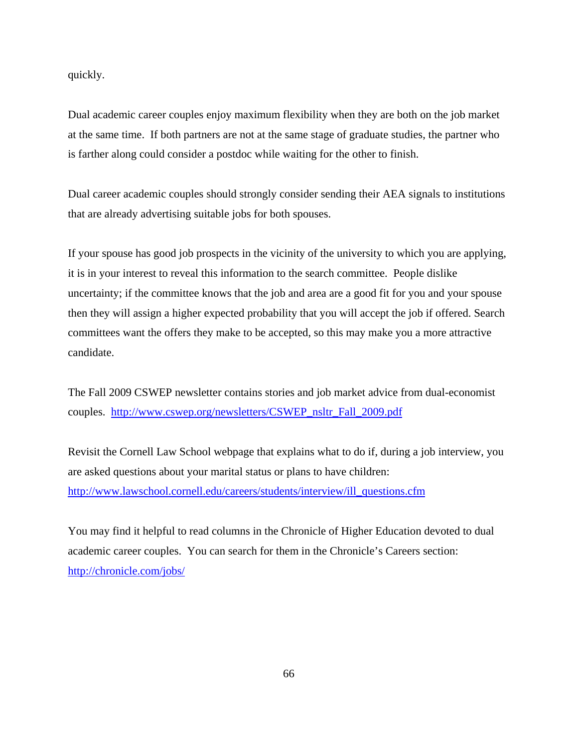quickly.

Dual academic career couples enjoy maximum flexibility when they are both on the job market at the same time. If both partners are not at the same stage of graduate studies, the partner who is farther along could consider a postdoc while waiting for the other to finish.

Dual career academic couples should strongly consider sending their AEA signals to institutions that are already advertising suitable jobs for both spouses.

If your spouse has good job prospects in the vicinity of the university to which you are applying, it is in your interest to reveal this information to the search committee. People dislike uncertainty; if the committee knows that the job and area are a good fit for you and your spouse then they will assign a higher expected probability that you will accept the job if offered. Search committees want the offers they make to be accepted, so this may make you a more attractive candidate.

The Fall 2009 CSWEP newsletter contains stories and job market advice from dual-economist couples. http://www.cswep.org/newsletters/CSWEP\_nsltr\_Fall\_2009.pdf

Revisit the Cornell Law School webpage that explains what to do if, during a job interview, you are asked questions about your marital status or plans to have children: http://www.lawschool.cornell.edu/careers/students/interview/ill\_questions.cfm

You may find it helpful to read columns in the Chronicle of Higher Education devoted to dual academic career couples. You can search for them in the Chronicle's Careers section: http://chronicle.com/jobs/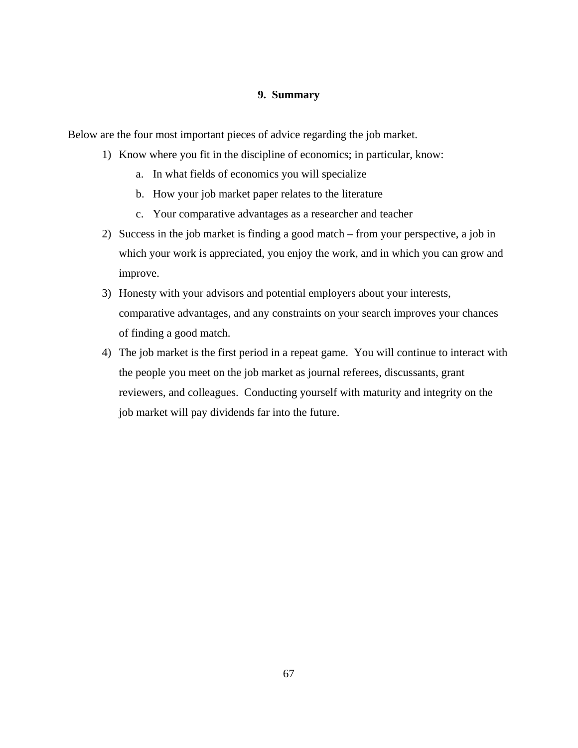## **9. Summary**

Below are the four most important pieces of advice regarding the job market.

- 1) Know where you fit in the discipline of economics; in particular, know:
	- a. In what fields of economics you will specialize
	- b. How your job market paper relates to the literature
	- c. Your comparative advantages as a researcher and teacher
- 2) Success in the job market is finding a good match from your perspective, a job in which your work is appreciated, you enjoy the work, and in which you can grow and improve.
- 3) Honesty with your advisors and potential employers about your interests, comparative advantages, and any constraints on your search improves your chances of finding a good match.
- 4) The job market is the first period in a repeat game. You will continue to interact with the people you meet on the job market as journal referees, discussants, grant reviewers, and colleagues. Conducting yourself with maturity and integrity on the job market will pay dividends far into the future.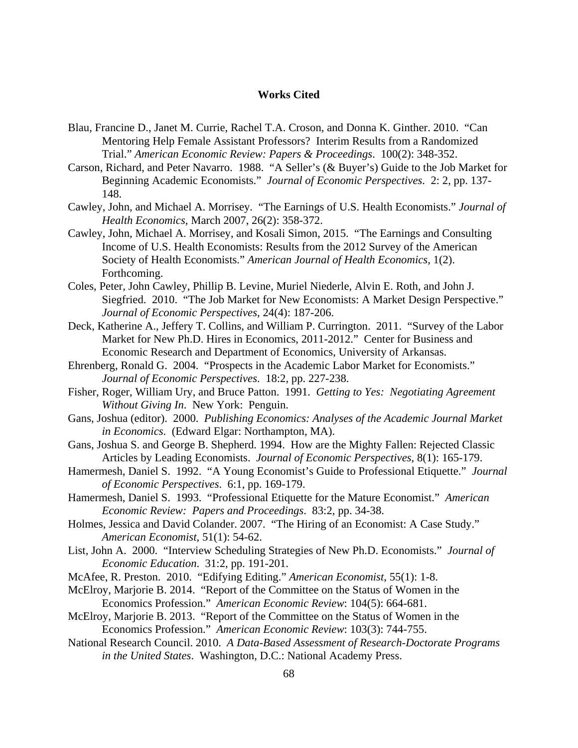### **Works Cited**

- Blau, Francine D., Janet M. Currie, Rachel T.A. Croson, and Donna K. Ginther. 2010. "Can Mentoring Help Female Assistant Professors? Interim Results from a Randomized Trial." *American Economic Review: Papers & Proceedings*. 100(2): 348-352.
- Carson, Richard, and Peter Navarro. 1988. "A Seller's (& Buyer's) Guide to the Job Market for Beginning Academic Economists." *Journal of Economic Perspectives*. 2: 2, pp. 137- 148.
- Cawley, John, and Michael A. Morrisey. "The Earnings of U.S. Health Economists." *Journal of Health Economics*, March 2007, 26(2): 358-372.
- Cawley, John, Michael A. Morrisey, and Kosali Simon, 2015. "The Earnings and Consulting Income of U.S. Health Economists: Results from the 2012 Survey of the American Society of Health Economists." *American Journal of Health Economics*, 1(2). Forthcoming.
- Coles, Peter, John Cawley, Phillip B. Levine, Muriel Niederle, Alvin E. Roth, and John J. Siegfried. 2010. "The Job Market for New Economists: A Market Design Perspective." *Journal of Economic Perspectives*, 24(4): 187-206.
- Deck, Katherine A., Jeffery T. Collins, and William P. Currington. 2011. "Survey of the Labor Market for New Ph.D. Hires in Economics, 2011-2012." Center for Business and Economic Research and Department of Economics, University of Arkansas.
- Ehrenberg, Ronald G. 2004. "Prospects in the Academic Labor Market for Economists." *Journal of Economic Perspectives*. 18:2, pp. 227-238.
- Fisher, Roger, William Ury, and Bruce Patton. 1991. *Getting to Yes: Negotiating Agreement Without Giving In*. New York: Penguin.
- Gans, Joshua (editor). 2000. *Publishing Economics: Analyses of the Academic Journal Market in Economics*. (Edward Elgar: Northampton, MA).
- Gans, Joshua S. and George B. Shepherd. 1994. How are the Mighty Fallen: Rejected Classic Articles by Leading Economists. *Journal of Economic Perspectives*, 8(1): 165-179.
- Hamermesh, Daniel S. 1992. "A Young Economist's Guide to Professional Etiquette." *Journal of Economic Perspectives*. 6:1, pp. 169-179.
- Hamermesh, Daniel S. 1993. "Professional Etiquette for the Mature Economist." *American Economic Review: Papers and Proceedings*. 83:2, pp. 34-38.
- Holmes, Jessica and David Colander. 2007. "The Hiring of an Economist: A Case Study." *American Economist*, 51(1): 54-62.
- List, John A. 2000. "Interview Scheduling Strategies of New Ph.D. Economists." *Journal of Economic Education*. 31:2, pp. 191-201.
- McAfee, R. Preston. 2010. "Edifying Editing." *American Economist*, 55(1): 1-8.
- McElroy, Marjorie B. 2014. "Report of the Committee on the Status of Women in the Economics Profession." *American Economic Review*: 104(5): 664-681.
- McElroy, Marjorie B. 2013. "Report of the Committee on the Status of Women in the Economics Profession." *American Economic Review*: 103(3): 744-755.
- National Research Council. 2010. *A Data-Based Assessment of Research-Doctorate Programs in the United States*. Washington, D.C.: National Academy Press.